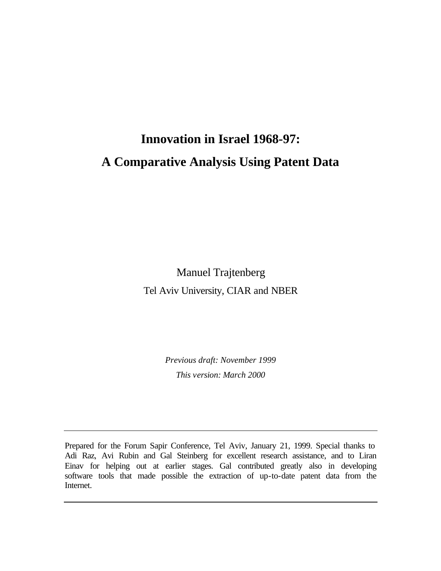# **Innovation in Israel 1968-97: A Comparative Analysis Using Patent Data**

Manuel Trajtenberg Tel Aviv University, CIAR and NBER

> *Previous draft: November 1999 This version: March 2000*

Prepared for the Forum Sapir Conference, Tel Aviv, January 21, 1999. Special thanks to Adi Raz, Avi Rubin and Gal Steinberg for excellent research assistance, and to Liran Einav for helping out at earlier stages. Gal contributed greatly also in developing software tools that made possible the extraction of up-to-date patent data from the Internet.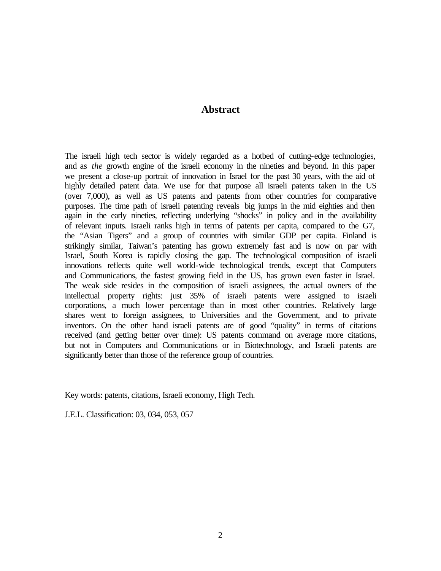# **Abstract**

The israeli high tech sector is widely regarded as a hotbed of cutting-edge technologies, and as *the* growth engine of the israeli economy in the nineties and beyond. In this paper we present a close-up portrait of innovation in Israel for the past 30 years, with the aid of highly detailed patent data. We use for that purpose all israeli patents taken in the US (over 7,000), as well as US patents and patents from other countries for comparative purposes. The time path of israeli patenting reveals big jumps in the mid eighties and then again in the early nineties, reflecting underlying "shocks" in policy and in the availability of relevant inputs. Israeli ranks high in terms of patents per capita, compared to the G7, the "Asian Tigers" and a group of countries with similar GDP per capita. Finland is strikingly similar, Taiwan's patenting has grown extremely fast and is now on par with Israel, South Korea is rapidly closing the gap. The technological composition of israeli innovations reflects quite well world-wide technological trends, except that Computers and Communications, the fastest growing field in the US, has grown even faster in Israel. The weak side resides in the composition of israeli assignees, the actual owners of the intellectual property rights: just 35% of israeli patents were assigned to israeli corporations, a much lower percentage than in most other countries. Relatively large shares went to foreign assignees, to Universities and the Government, and to private inventors. On the other hand israeli patents are of good "quality" in terms of citations received (and getting better over time): US patents command on average more citations, but not in Computers and Communications or in Biotechnology, and Israeli patents are significantly better than those of the reference group of countries.

Key words: patents, citations, Israeli economy, High Tech.

J.E.L. Classification: 03, 034, 053, 057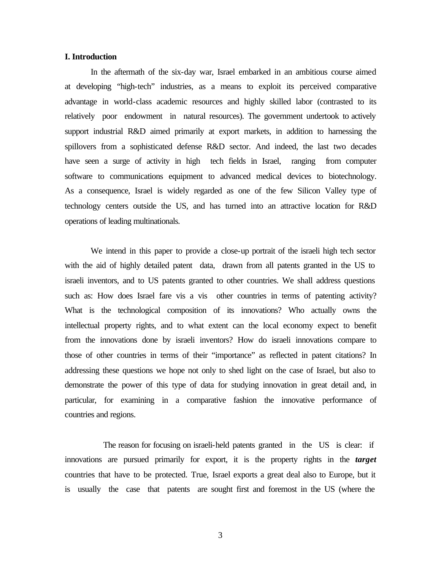#### **I. Introduction**

In the aftermath of the six-day war, Israel embarked in an ambitious course aimed at developing "high-tech" industries, as a means to exploit its perceived comparative advantage in world-class academic resources and highly skilled labor (contrasted to its relatively poor endowment in natural resources). The government undertook to actively support industrial R&D aimed primarily at export markets, in addition to harnessing the spillovers from a sophisticated defense R&D sector. And indeed, the last two decades have seen a surge of activity in high tech fields in Israel, ranging from computer software to communications equipment to advanced medical devices to biotechnology. As a consequence, Israel is widely regarded as one of the few Silicon Valley type of technology centers outside the US, and has turned into an attractive location for R&D operations of leading multinationals.

We intend in this paper to provide a close-up portrait of the israeli high tech sector with the aid of highly detailed patent data, drawn from all patents granted in the US to israeli inventors, and to US patents granted to other countries. We shall address questions such as: How does Israel fare vis a vis other countries in terms of patenting activity? What is the technological composition of its innovations? Who actually owns the intellectual property rights, and to what extent can the local economy expect to benefit from the innovations done by israeli inventors? How do israeli innovations compare to those of other countries in terms of their "importance" as reflected in patent citations? In addressing these questions we hope not only to shed light on the case of Israel, but also to demonstrate the power of this type of data for studying innovation in great detail and, in particular, for examining in a comparative fashion the innovative performance of countries and regions.

 The reason for focusing on israeli-held patents granted in the US is clear: if innovations are pursued primarily for export, it is the property rights in the *target*  countries that have to be protected. True, Israel exports a great deal also to Europe, but it is usually the case that patents are sought first and foremost in the US (where the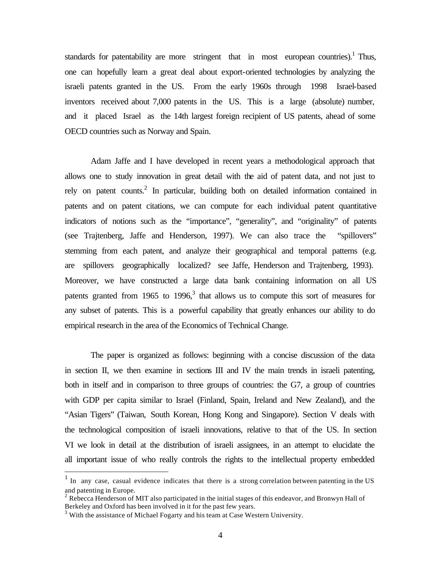standards for patentability are more stringent that in most european countries).<sup>1</sup> Thus, one can hopefully learn a great deal about export-oriented technologies by analyzing the israeli patents granted in the US. From the early 1960s through 1998 Israel-based inventors received about 7,000 patents in the US. This is a large (absolute) number, and it placed Israel as the 14th largest foreign recipient of US patents, ahead of some OECD countries such as Norway and Spain.

Adam Jaffe and I have developed in recent years a methodological approach that allows one to study innovation in great detail with the aid of patent data, and not just to rely on patent counts.<sup>2</sup> In particular, building both on detailed information contained in patents and on patent citations, we can compute for each individual patent quantitative indicators of notions such as the "importance", "generality", and "originality" of patents (see Trajtenberg, Jaffe and Henderson, 1997). We can also trace the "spillovers" stemming from each patent, and analyze their geographical and temporal patterns (e.g. are spillovers geographically localized? see Jaffe, Henderson and Trajtenberg, 1993). Moreover, we have constructed a large data bank containing information on all US patents granted from 1965 to 1996, $3$  that allows us to compute this sort of measures for any subset of patents. This is a powerful capability that greatly enhances our ability to do empirical research in the area of the Economics of Technical Change.

The paper is organized as follows: beginning with a concise discussion of the data in section II, we then examine in sections III and IV the main trends in israeli patenting, both in itself and in comparison to three groups of countries: the G7, a group of countries with GDP per capita similar to Israel (Finland, Spain, Ireland and New Zealand), and the "Asian Tigers" (Taiwan, South Korean, Hong Kong and Singapore). Section V deals with the technological composition of israeli innovations, relative to that of the US. In section VI we look in detail at the distribution of israeli assignees, in an attempt to elucidate the all important issue of who really controls the rights to the intellectual property embedded

<sup>&</sup>lt;sup>1</sup> In any case, casual evidence indicates that there is a strong correlation between patenting in the US and patenting in Europe.

 $2 \text{ Rebecca H}$  Henderson of MIT also participated in the initial stages of this endeavor, and Bronwyn Hall of Berkeley and Oxford has been involved in it for the past few years.

 $3$  With the assistance of Michael Fogarty and his team at Case Western University.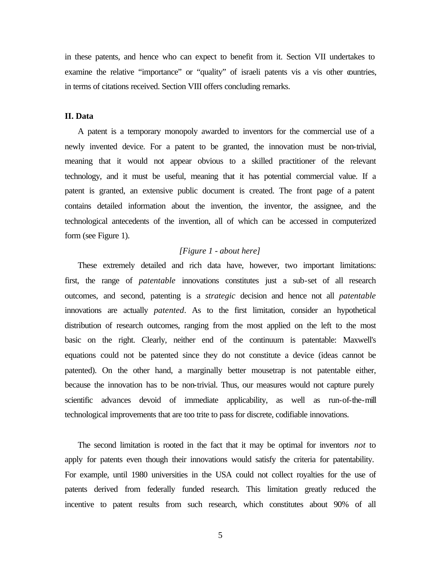in these patents, and hence who can expect to benefit from it. Section VII undertakes to examine the relative "importance" or "quality" of israeli patents vis a vis other countries, in terms of citations received. Section VIII offers concluding remarks.

#### **II. Data**

A patent is a temporary monopoly awarded to inventors for the commercial use of a newly invented device. For a patent to be granted, the innovation must be non-trivial, meaning that it would not appear obvious to a skilled practitioner of the relevant technology, and it must be useful, meaning that it has potential commercial value. If a patent is granted, an extensive public document is created. The front page of a patent contains detailed information about the invention, the inventor, the assignee, and the technological antecedents of the invention, all of which can be accessed in computerized form (see Figure 1).

## *[Figure 1 - about here]*

These extremely detailed and rich data have, however, two important limitations: first, the range of *patentable* innovations constitutes just a sub-set of all research outcomes, and second, patenting is a *strategic* decision and hence not all *patentable*  innovations are actually *patented*. As to the first limitation, consider an hypothetical distribution of research outcomes, ranging from the most applied on the left to the most basic on the right. Clearly, neither end of the continuum is patentable: Maxwell's equations could not be patented since they do not constitute a device (ideas cannot be patented). On the other hand, a marginally better mousetrap is not patentable either, because the innovation has to be non-trivial. Thus, our measures would not capture purely scientific advances devoid of immediate applicability, as well as run-of-the-mill technological improvements that are too trite to pass for discrete, codifiable innovations.

The second limitation is rooted in the fact that it may be optimal for inventors *not* to apply for patents even though their innovations would satisfy the criteria for patentability. For example, until 1980 universities in the USA could not collect royalties for the use of patents derived from federally funded research. This limitation greatly reduced the incentive to patent results from such research, which constitutes about 90% of all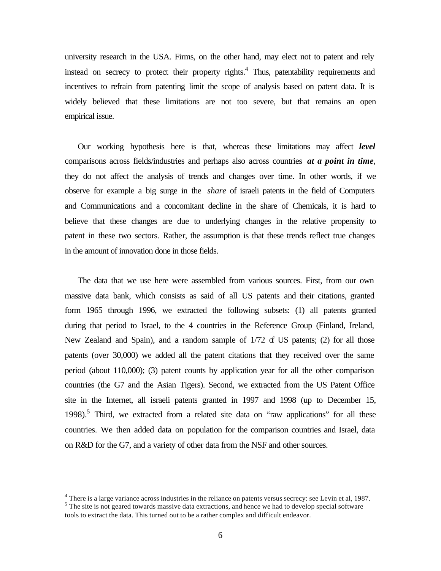university research in the USA. Firms, on the other hand, may elect not to patent and rely instead on secrecy to protect their property rights.<sup>4</sup> Thus, patentability requirements and incentives to refrain from patenting limit the scope of analysis based on patent data. It is widely believed that these limitations are not too severe, but that remains an open empirical issue.

Our working hypothesis here is that, whereas these limitations may affect *level* comparisons across fields/industries and perhaps also across countries *at a point in time*, they do not affect the analysis of trends and changes over time. In other words, if we observe for example a big surge in the *share* of israeli patents in the field of Computers and Communications and a concomitant decline in the share of Chemicals, it is hard to believe that these changes are due to underlying changes in the relative propensity to patent in these two sectors. Rather, the assumption is that these trends reflect true changes in the amount of innovation done in those fields.

The data that we use here were assembled from various sources. First, from our own massive data bank, which consists as said of all US patents and their citations, granted form 1965 through 1996, we extracted the following subsets: (1) all patents granted during that period to Israel, to the 4 countries in the Reference Group (Finland, Ireland, New Zealand and Spain), and a random sample of  $1/72$  of US patents; (2) for all those patents (over 30,000) we added all the patent citations that they received over the same period (about 110,000); (3) patent counts by application year for all the other comparison countries (the G7 and the Asian Tigers). Second, we extracted from the US Patent Office site in the Internet, all israeli patents granted in 1997 and 1998 (up to December 15, 1998).<sup>5</sup> Third, we extracted from a related site data on "raw applications" for all these countries. We then added data on population for the comparison countries and Israel, data on R&D for the G7, and a variety of other data from the NSF and other sources.

 $4$  There is a large variance across industries in the reliance on patents versus secrecy: see Levin et al, 1987. <sup>5</sup> The site is not geared towards massive data extractions, and hence we had to develop special software tools to extract the data. This turned out to be a rather complex and difficult endeavor.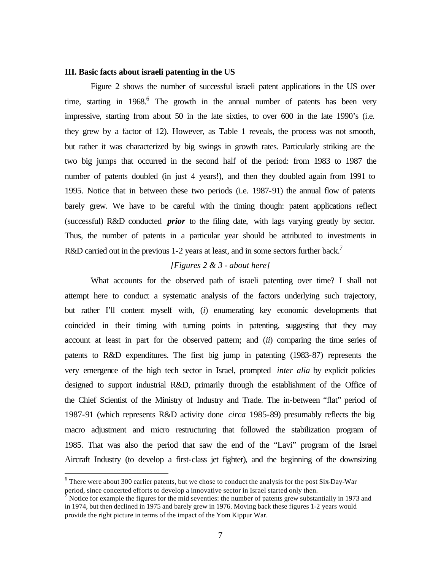#### **III. Basic facts about israeli patenting in the US**

Figure 2 shows the number of successful israeli patent applications in the US over time, starting in 1968.<sup>6</sup> The growth in the annual number of patents has been very impressive, starting from about 50 in the late sixties, to over 600 in the late 1990's (i.e. they grew by a factor of 12). However, as Table 1 reveals, the process was not smooth, but rather it was characterized by big swings in growth rates. Particularly striking are the two big jumps that occurred in the second half of the period: from 1983 to 1987 the number of patents doubled (in just 4 years!), and then they doubled again from 1991 to 1995. Notice that in between these two periods (i.e. 1987-91) the annual flow of patents barely grew. We have to be careful with the timing though: patent applications reflect (successful) R&D conducted *prior* to the filing date, with lags varying greatly by sector. Thus, the number of patents in a particular year should be attributed to investments in R&D carried out in the previous 1-2 years at least, and in some sectors further back.<sup>7</sup>

## *[Figures 2 & 3 - about here]*

What accounts for the observed path of israeli patenting over time? I shall not attempt here to conduct a systematic analysis of the factors underlying such trajectory, but rather I'll content myself with, (*i*) enumerating key economic developments that coincided in their timing with turning points in patenting, suggesting that they may account at least in part for the observed pattern; and (*ii*) comparing the time series of patents to R&D expenditures. The first big jump in patenting (1983-87) represents the very emergence of the high tech sector in Israel, prompted *inter alia* by explicit policies designed to support industrial R&D, primarily through the establishment of the Office of the Chief Scientist of the Ministry of Industry and Trade. The in-between "flat" period of 1987-91 (which represents R&D activity done *circa* 1985-89) presumably reflects the big macro adjustment and micro restructuring that followed the stabilization program of 1985. That was also the period that saw the end of the "Lavi" program of the Israel Aircraft Industry (to develop a first-class jet fighter), and the beginning of the downsizing

 $6$  There were about 300 earlier patents, but we chose to conduct the analysis for the post Six-Day-War period, since concerted efforts to develop a innovative sector in Israel started only then.

 $\frac{1}{2}$  Notice for example the figures for the mid seventies: the number of patents grew substantially in 1973 and in 1974, but then declined in 1975 and barely grew in 1976. Moving back these figures 1-2 years would provide the right picture in terms of the impact of the Yom Kippur War.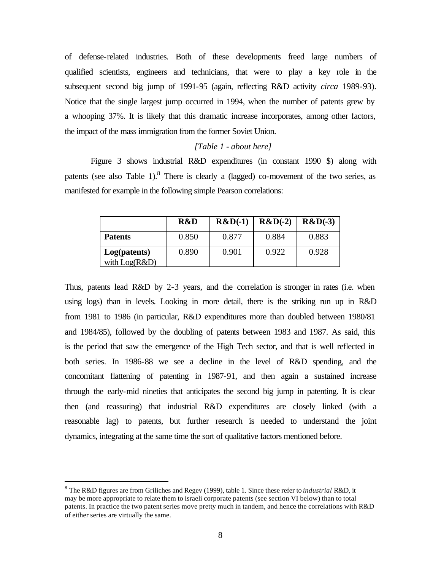of defense-related industries. Both of these developments freed large numbers of qualified scientists, engineers and technicians, that were to play a key role in the subsequent second big jump of 1991-95 (again, reflecting R&D activity *circa* 1989-93). Notice that the single largest jump occurred in 1994, when the number of patents grew by a whooping 37%. It is likely that this dramatic increase incorporates, among other factors, the impact of the mass immigration from the former Soviet Union.

#### *[Table 1 - about here]*

Figure 3 shows industrial R&D expenditures (in constant 1990 \$) along with patents (see also Table 1). $8$  There is clearly a (lagged) co-movement of the two series, as manifested for example in the following simple Pearson correlations:

|                 | R&D   | $R&D(-1)$ | $R&D(-2)$ | $R&D(-3)$ |
|-----------------|-------|-----------|-----------|-----------|
| <b>Patents</b>  | 0.850 | 0.877     | 0.884     | 0.883     |
| Log(patents)    | 0.890 | 0.901     | 0.922     | 0.928     |
| with $Log(R&D)$ |       |           |           |           |

Thus, patents lead R&D by 2-3 years, and the correlation is stronger in rates (i.e. when using logs) than in levels. Looking in more detail, there is the striking run up in R&D from 1981 to 1986 (in particular, R&D expenditures more than doubled between 1980/81 and 1984/85), followed by the doubling of patents between 1983 and 1987. As said, this is the period that saw the emergence of the High Tech sector, and that is well reflected in both series. In 1986-88 we see a decline in the level of R&D spending, and the concomitant flattening of patenting in 1987-91, and then again a sustained increase through the early-mid nineties that anticipates the second big jump in patenting. It is clear then (and reassuring) that industrial R&D expenditures are closely linked (with a reasonable lag) to patents, but further research is needed to understand the joint dynamics, integrating at the same time the sort of qualitative factors mentioned before.

<sup>8</sup> The R&D figures are from Griliches and Regev (1999), table 1. Since these refer to *industrial* R&D, it may be more appropriate to relate them to israeli corporate patents (see section VI below) than to total patents. In practice the two patent series move pretty much in tandem, and hence the correlations with R&D of either series are virtually the same.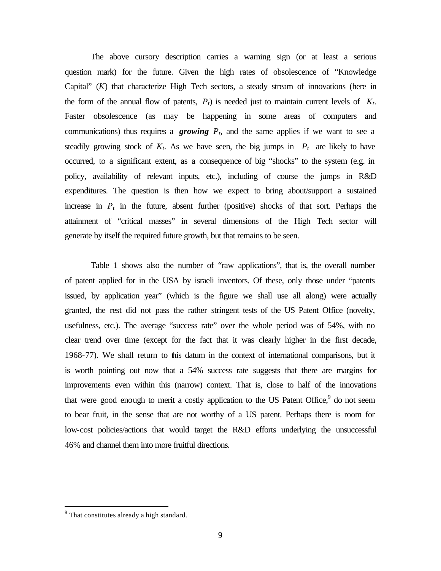The above cursory description carries a warning sign (or at least a serious question mark) for the future. Given the high rates of obsolescence of "Knowledge Capital" (*K*) that characterize High Tech sectors, a steady stream of innovations (here in the form of the annual flow of patents,  $P_t$ ) is needed just to maintain current levels of  $K_t$ . Faster obsolescence (as may be happening in some areas of computers and communications) thus requires a *growing*  $P_t$ , and the same applies if we want to see a steadily growing stock of  $K_t$ . As we have seen, the big jumps in  $P_t$  are likely to have occurred, to a significant extent, as a consequence of big "shocks" to the system (e.g. in policy, availability of relevant inputs, etc.), including of course the jumps in R&D expenditures. The question is then how we expect to bring about/support a sustained increase in *Pt* in the future, absent further (positive) shocks of that sort. Perhaps the attainment of "critical masses" in several dimensions of the High Tech sector will generate by itself the required future growth, but that remains to be seen.

Table 1 shows also the number of "raw applications", that is, the overall number of patent applied for in the USA by israeli inventors. Of these, only those under "patents issued, by application year" (which is the figure we shall use all along) were actually granted, the rest did not pass the rather stringent tests of the US Patent Office (novelty, usefulness, etc.). The average "success rate" over the whole period was of 54%, with no clear trend over time (except for the fact that it was clearly higher in the first decade, 1968-77). We shall return to this datum in the context of international comparisons, but it is worth pointing out now that a 54% success rate suggests that there are margins for improvements even within this (narrow) context. That is, close to half of the innovations that were good enough to merit a costly application to the US Patent Office,<sup>9</sup> do not seem to bear fruit, in the sense that are not worthy of a US patent. Perhaps there is room for low-cost policies/actions that would target the R&D efforts underlying the unsuccessful 46% and channel them into more fruitful directions.

<sup>&</sup>lt;sup>9</sup> That constitutes already a high standard.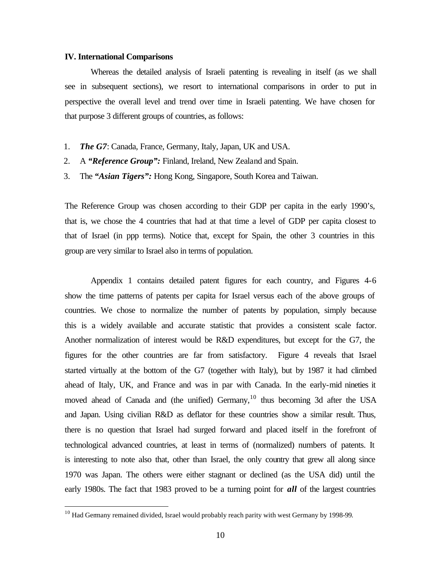#### **IV. International Comparisons**

 $\overline{a}$ 

Whereas the detailed analysis of Israeli patenting is revealing in itself (as we shall see in subsequent sections), we resort to international comparisons in order to put in perspective the overall level and trend over time in Israeli patenting. We have chosen for that purpose 3 different groups of countries, as follows:

- 1. *The G7*: Canada, France, Germany, Italy, Japan, UK and USA.
- 2. A *"Reference Group":* Finland, Ireland, New Zealand and Spain.
- 3. The *"Asian Tigers":* Hong Kong, Singapore, South Korea and Taiwan.

The Reference Group was chosen according to their GDP per capita in the early 1990's, that is, we chose the 4 countries that had at that time a level of GDP per capita closest to that of Israel (in ppp terms). Notice that, except for Spain, the other 3 countries in this group are very similar to Israel also in terms of population.

Appendix 1 contains detailed patent figures for each country, and Figures 4-6 show the time patterns of patents per capita for Israel versus each of the above groups of countries. We chose to normalize the number of patents by population, simply because this is a widely available and accurate statistic that provides a consistent scale factor. Another normalization of interest would be R&D expenditures, but except for the G7, the figures for the other countries are far from satisfactory. Figure 4 reveals that Israel started virtually at the bottom of the G7 (together with Italy), but by 1987 it had climbed ahead of Italy, UK, and France and was in par with Canada. In the early-mid nineties it moved ahead of Canada and (the unified) Germany,<sup>10</sup> thus becoming 3d after the USA and Japan. Using civilian R&D as deflator for these countries show a similar result. Thus, there is no question that Israel had surged forward and placed itself in the forefront of technological advanced countries, at least in terms of (normalized) numbers of patents. It is interesting to note also that, other than Israel, the only country that grew all along since 1970 was Japan. The others were either stagnant or declined (as the USA did) until the early 1980s. The fact that 1983 proved to be a turning point for *all* of the largest countries

<sup>&</sup>lt;sup>10</sup> Had Germany remained divided, Israel would probably reach parity with west Germany by 1998-99.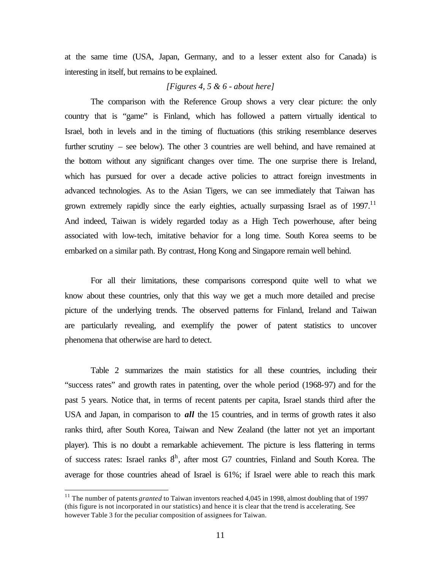at the same time (USA, Japan, Germany, and to a lesser extent also for Canada) is interesting in itself, but remains to be explained.

#### *[Figures 4, 5 & 6 - about here]*

The comparison with the Reference Group shows a very clear picture: the only country that is "game" is Finland, which has followed a pattern virtually identical to Israel, both in levels and in the timing of fluctuations (this striking resemblance deserves further scrutiny – see below). The other 3 countries are well behind, and have remained at the bottom without any significant changes over time. The one surprise there is Ireland, which has pursued for over a decade active policies to attract foreign investments in advanced technologies. As to the Asian Tigers, we can see immediately that Taiwan has grown extremely rapidly since the early eighties, actually surpassing Israel as of  $1997$ .<sup>11</sup> And indeed, Taiwan is widely regarded today as a High Tech powerhouse, after being associated with low-tech, imitative behavior for a long time. South Korea seems to be embarked on a similar path. By contrast, Hong Kong and Singapore remain well behind.

For all their limitations, these comparisons correspond quite well to what we know about these countries, only that this way we get a much more detailed and precise picture of the underlying trends. The observed patterns for Finland, Ireland and Taiwan are particularly revealing, and exemplify the power of patent statistics to uncover phenomena that otherwise are hard to detect.

Table 2 summarizes the main statistics for all these countries, including their "success rates" and growth rates in patenting, over the whole period (1968-97) and for the past 5 years. Notice that, in terms of recent patents per capita, Israel stands third after the USA and Japan, in comparison to *all* the 15 countries, and in terms of growth rates it also ranks third, after South Korea, Taiwan and New Zealand (the latter not yet an important player). This is no doubt a remarkable achievement. The picture is less flattering in terms of success rates: Israel ranks  $8<sup>h</sup>$ , after most G7 countries, Finland and South Korea. The average for those countries ahead of Israel is 61%; if Israel were able to reach this mark

<sup>&</sup>lt;sup>11</sup> The number of patents *granted* to Taiwan inventors reached 4,045 in 1998, almost doubling that of 1997 (this figure is not incorporated in our statistics) and hence it is clear that the trend is accelerating. See however Table 3 for the peculiar composition of assignees for Taiwan.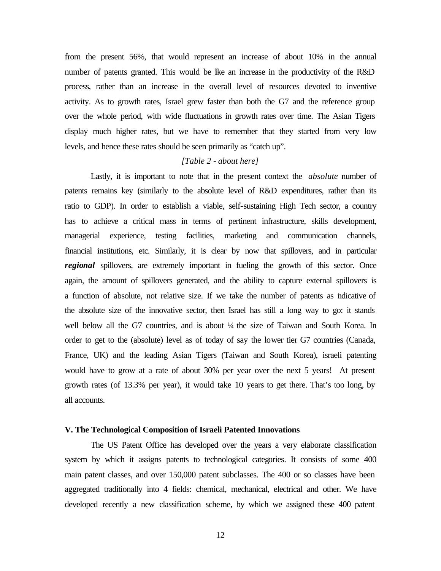from the present 56%, that would represent an increase of about 10% in the annual number of patents granted. This would be like an increase in the productivity of the R&D process, rather than an increase in the overall level of resources devoted to inventive activity. As to growth rates, Israel grew faster than both the G7 and the reference group over the whole period, with wide fluctuations in growth rates over time. The Asian Tigers display much higher rates, but we have to remember that they started from very low levels, and hence these rates should be seen primarily as "catch up".

#### *[Table 2 - about here]*

Lastly, it is important to note that in the present context the *absolute* number of patents remains key (similarly to the absolute level of R&D expenditures, rather than its ratio to GDP). In order to establish a viable, self-sustaining High Tech sector, a country has to achieve a critical mass in terms of pertinent infrastructure, skills development, managerial experience, testing facilities, marketing and communication channels, financial institutions, etc. Similarly, it is clear by now that spillovers, and in particular *regional* spillovers, are extremely important in fueling the growth of this sector. Once again, the amount of spillovers generated, and the ability to capture external spillovers is a function of absolute, not relative size. If we take the number of patents as indicative of the absolute size of the innovative sector, then Israel has still a long way to go: it stands well below all the G7 countries, and is about ¼ the size of Taiwan and South Korea. In order to get to the (absolute) level as of today of say the lower tier G7 countries (Canada, France, UK) and the leading Asian Tigers (Taiwan and South Korea), israeli patenting would have to grow at a rate of about 30% per year over the next 5 years! At present growth rates (of 13.3% per year), it would take 10 years to get there. That's too long, by all accounts.

#### **V. The Technological Composition of Israeli Patented Innovations**

The US Patent Office has developed over the years a very elaborate classification system by which it assigns patents to technological categories. It consists of some 400 main patent classes, and over 150,000 patent subclasses. The 400 or so classes have been aggregated traditionally into 4 fields: chemical, mechanical, electrical and other. We have developed recently a new classification scheme, by which we assigned these 400 patent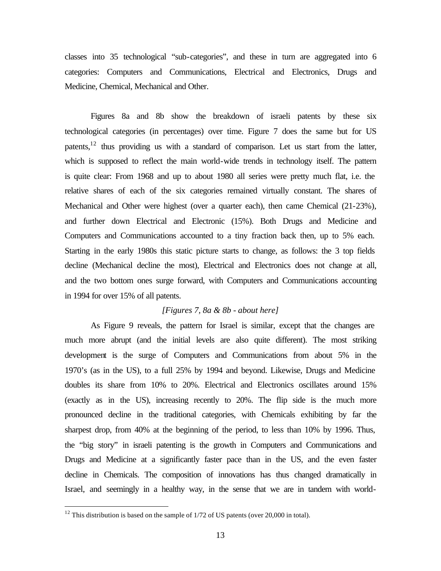classes into 35 technological "sub-categories", and these in turn are aggregated into 6 categories: Computers and Communications, Electrical and Electronics, Drugs and Medicine, Chemical, Mechanical and Other.

Figures 8a and 8b show the breakdown of israeli patents by these six technological categories (in percentages) over time. Figure 7 does the same but for US patents,<sup>12</sup> thus providing us with a standard of comparison. Let us start from the latter, which is supposed to reflect the main world-wide trends in technology itself. The pattern is quite clear: From 1968 and up to about 1980 all series were pretty much flat, i.e. the relative shares of each of the six categories remained virtually constant. The shares of Mechanical and Other were highest (over a quarter each), then came Chemical (21-23%), and further down Electrical and Electronic (15%). Both Drugs and Medicine and Computers and Communications accounted to a tiny fraction back then, up to 5% each. Starting in the early 1980s this static picture starts to change, as follows: the 3 top fields decline (Mechanical decline the most), Electrical and Electronics does not change at all, and the two bottom ones surge forward, with Computers and Communications accounting in 1994 for over 15% of all patents.

#### *[Figures 7, 8a & 8b - about here]*

As Figure 9 reveals, the pattern for Israel is similar, except that the changes are much more abrupt (and the initial levels are also quite different). The most striking development is the surge of Computers and Communications from about 5% in the 1970's (as in the US), to a full 25% by 1994 and beyond. Likewise, Drugs and Medicine doubles its share from 10% to 20%. Electrical and Electronics oscillates around 15% (exactly as in the US), increasing recently to 20%. The flip side is the much more pronounced decline in the traditional categories, with Chemicals exhibiting by far the sharpest drop, from 40% at the beginning of the period, to less than 10% by 1996. Thus, the "big story" in israeli patenting is the growth in Computers and Communications and Drugs and Medicine at a significantly faster pace than in the US, and the even faster decline in Chemicals. The composition of innovations has thus changed dramatically in Israel, and seemingly in a healthy way, in the sense that we are in tandem with world-

 $12$  This distribution is based on the sample of  $1/72$  of US patents (over 20,000 in total).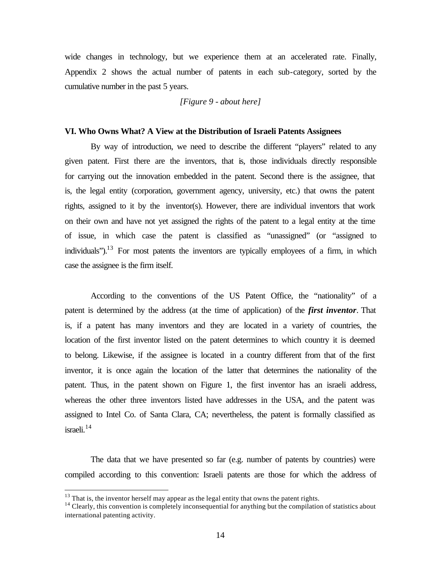wide changes in technology, but we experience them at an accelerated rate. Finally, Appendix 2 shows the actual number of patents in each sub-category, sorted by the cumulative number in the past 5 years.

#### *[Figure 9 - about here]*

#### **VI. Who Owns What? A View at the Distribution of Israeli Patents Assignees**

By way of introduction, we need to describe the different "players" related to any given patent. First there are the inventors, that is, those individuals directly responsible for carrying out the innovation embedded in the patent. Second there is the assignee, that is, the legal entity (corporation, government agency, university, etc.) that owns the patent rights, assigned to it by the inventor(s). However, there are individual inventors that work on their own and have not yet assigned the rights of the patent to a legal entity at the time of issue, in which case the patent is classified as "unassigned" (or "assigned to individuals").<sup>13</sup> For most patents the inventors are typically employees of a firm, in which case the assignee is the firm itself.

According to the conventions of the US Patent Office, the "nationality" of a patent is determined by the address (at the time of application) of the *first inventor*. That is, if a patent has many inventors and they are located in a variety of countries, the location of the first inventor listed on the patent determines to which country it is deemed to belong. Likewise, if the assignee is located in a country different from that of the first inventor, it is once again the location of the latter that determines the nationality of the patent. Thus, in the patent shown on Figure 1, the first inventor has an israeli address, whereas the other three inventors listed have addresses in the USA, and the patent was assigned to Intel Co. of Santa Clara, CA; nevertheless, the patent is formally classified as israeli.<sup>14</sup>

The data that we have presented so far (e.g. number of patents by countries) were compiled according to this convention: Israeli patents are those for which the address of

 $13$  That is, the inventor herself may appear as the legal entity that owns the patent rights.

<sup>&</sup>lt;sup>14</sup> Clearly, this convention is completely inconsequential for anything but the compilation of statistics about international patenting activity.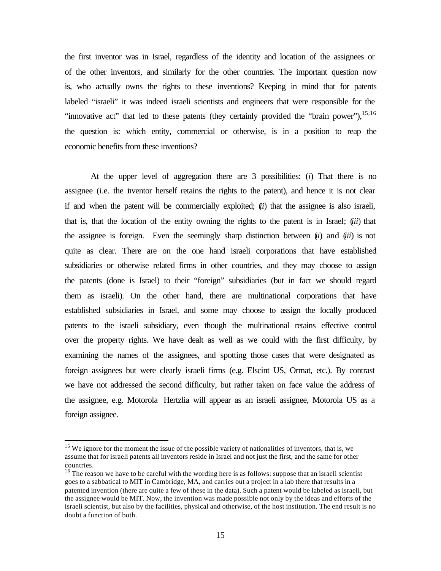the first inventor was in Israel, regardless of the identity and location of the assignees or of the other inventors, and similarly for the other countries. The important question now is, who actually owns the rights to these inventions? Keeping in mind that for patents labeled "israeli" it was indeed israeli scientists and engineers that were responsible for the "innovative act" that led to these patents (they certainly provided the "brain power"),  $^{15,16}$ the question is: which entity, commercial or otherwise, is in a position to reap the economic benefits from these inventions?

At the upper level of aggregation there are 3 possibilities: (*i*) That there is no assignee (i.e. the inventor herself retains the rights to the patent), and hence it is not clear if and when the patent will be commercially exploited; (*ii*) that the assignee is also israeli, that is, that the location of the entity owning the rights to the patent is in Israel; (*iii*) that the assignee is foreign. Even the seemingly sharp distinction between (*ii*) and (*iii*) is not quite as clear. There are on the one hand israeli corporations that have established subsidiaries or otherwise related firms in other countries, and they may choose to assign the patents (done is Israel) to their "foreign" subsidiaries (but in fact we should regard them as israeli). On the other hand, there are multinational corporations that have established subsidiaries in Israel, and some may choose to assign the locally produced patents to the israeli subsidiary, even though the multinational retains effective control over the property rights. We have dealt as well as we could with the first difficulty, by examining the names of the assignees, and spotting those cases that were designated as foreign assignees but were clearly israeli firms (e.g. Elscint US, Ormat, etc.). By contrast we have not addressed the second difficulty, but rather taken on face value the address of the assignee, e.g. Motorola Hertzlia will appear as an israeli assignee, Motorola US as a foreign assignee.

<sup>&</sup>lt;sup>15</sup> We ignore for the moment the issue of the possible variety of nationalities of inventors, that is, we assume that for israeli patents all inventors reside in Israel and not just the first, and the same for other countries.

<sup>&</sup>lt;sup>16</sup> The reason we have to be careful with the wording here is as follows: suppose that an israeli scientist goes to a sabbatical to MIT in Cambridge, MA, and carries out a project in a lab there that results in a patented invention (there are quite a few of these in the data). Such a patent would be labeled as israeli, but the assignee would be MIT. Now, the invention was made possible not only by the ideas and efforts of the israeli scientist, but also by the facilities, physical and otherwise, of the host institution. The end result is no doubt a function of both.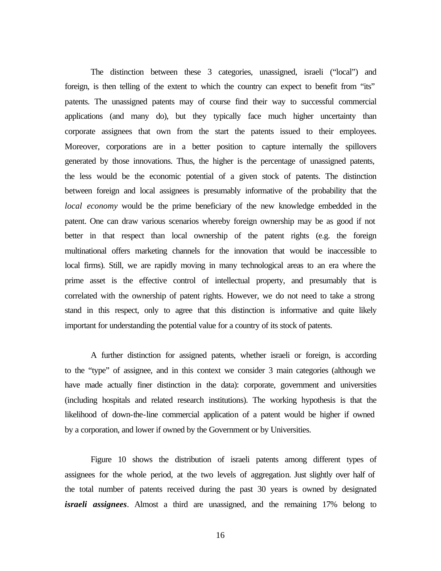The distinction between these 3 categories, unassigned, israeli ("local") and foreign, is then telling of the extent to which the country can expect to benefit from "its" patents. The unassigned patents may of course find their way to successful commercial applications (and many do), but they typically face much higher uncertainty than corporate assignees that own from the start the patents issued to their employees. Moreover, corporations are in a better position to capture internally the spillovers generated by those innovations. Thus, the higher is the percentage of unassigned patents, the less would be the economic potential of a given stock of patents. The distinction between foreign and local assignees is presumably informative of the probability that the *local economy* would be the prime beneficiary of the new knowledge embedded in the patent. One can draw various scenarios whereby foreign ownership may be as good if not better in that respect than local ownership of the patent rights (e.g. the foreign multinational offers marketing channels for the innovation that would be inaccessible to local firms). Still, we are rapidly moving in many technological areas to an era where the prime asset is the effective control of intellectual property, and presumably that is correlated with the ownership of patent rights. However, we do not need to take a strong stand in this respect, only to agree that this distinction is informative and quite likely important for understanding the potential value for a country of its stock of patents.

A further distinction for assigned patents, whether israeli or foreign, is according to the "type" of assignee, and in this context we consider 3 main categories (although we have made actually finer distinction in the data): corporate, government and universities (including hospitals and related research institutions). The working hypothesis is that the likelihood of down-the-line commercial application of a patent would be higher if owned by a corporation, and lower if owned by the Government or by Universities.

Figure 10 shows the distribution of israeli patents among different types of assignees for the whole period, at the two levels of aggregation. Just slightly over half of the total number of patents received during the past 30 years is owned by designated *israeli assignees*. Almost a third are unassigned, and the remaining 17% belong to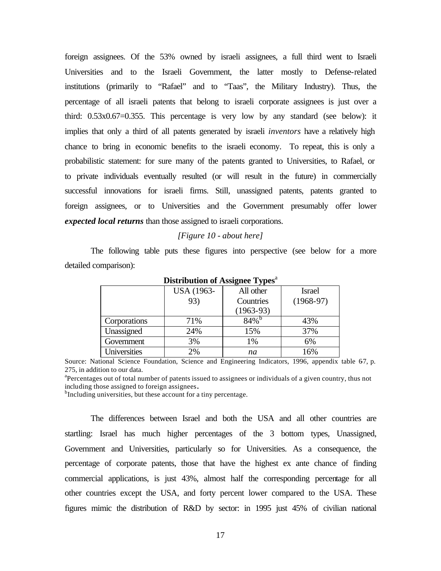foreign assignees. Of the 53% owned by israeli assignees, a full third went to Israeli Universities and to the Israeli Government, the latter mostly to Defense-related institutions (primarily to "Rafael" and to "Taas", the Military Industry). Thus, the percentage of all israeli patents that belong to israeli corporate assignees is just over a third: 0.53x0.67=0.355. This percentage is very low by any standard (see below): it implies that only a third of all patents generated by israeli *inventors* have a relatively high chance to bring in economic benefits to the israeli economy. To repeat, this is only a probabilistic statement: for sure many of the patents granted to Universities, to Rafael, or to private individuals eventually resulted (or will result in the future) in commercially successful innovations for israeli firms. Still, unassigned patents, patents granted to foreign assignees, or to Universities and the Government presumably offer lower *expected local returns* than those assigned to israeli corporations.

#### *[Figure 10 - about here]*

The following table puts these figures into perspective (see below for a more detailed comparison):

|              |            | ີ<br>. .            |               |
|--------------|------------|---------------------|---------------|
|              | USA (1963- | All other           | <b>Israel</b> |
|              | 93)        | Countries           | $(1968-97)$   |
|              |            | $(1963-93)$         |               |
| Corporations | 71%        | $84\%$ <sup>b</sup> | 43%           |
| Unassigned   | 24%        | 15%                 | 37%           |
| Government   | 3%         | 1%                  | 6%            |
| Universities | 2%         | na                  | 16%           |

**Distribution of Assignee Types**<sup>a</sup>

Source: National Science Foundation, Science and Engineering Indicators, 1996, appendix table 67, p. 275, in addition to our data.

<sup>a</sup>Percentages out of total number of patents issued to assignees or individuals of a given country, thus not including those assigned to foreign assignees**.**

<sup>b</sup>Including universities, but these account for a tiny percentage.

The differences between Israel and both the USA and all other countries are startling: Israel has much higher percentages of the 3 bottom types, Unassigned, Government and Universities, particularly so for Universities. As a consequence, the percentage of corporate patents, those that have the highest ex ante chance of finding commercial applications, is just 43%, almost half the corresponding percentage for all other countries except the USA, and forty percent lower compared to the USA. These figures mimic the distribution of R&D by sector: in 1995 just 45% of civilian national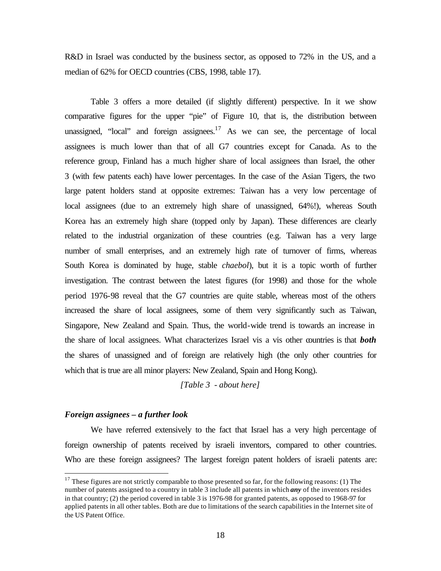R&D in Israel was conducted by the business sector, as opposed to 72% in the US, and a median of 62% for OECD countries (CBS, 1998, table 17).

Table 3 offers a more detailed (if slightly different) perspective. In it we show comparative figures for the upper "pie" of Figure 10, that is, the distribution between unassigned, "local" and foreign assignees.<sup>17</sup> As we can see, the percentage of local assignees is much lower than that of all G7 countries except for Canada. As to the reference group, Finland has a much higher share of local assignees than Israel, the other 3 (with few patents each) have lower percentages. In the case of the Asian Tigers, the two large patent holders stand at opposite extremes: Taiwan has a very low percentage of local assignees (due to an extremely high share of unassigned, 64%!), whereas South Korea has an extremely high share (topped only by Japan). These differences are clearly related to the industrial organization of these countries (e.g. Taiwan has a very large number of small enterprises, and an extremely high rate of turnover of firms, whereas South Korea is dominated by huge, stable *chaebol*), but it is a topic worth of further investigation. The contrast between the latest figures (for 1998) and those for the whole period 1976-98 reveal that the G7 countries are quite stable, whereas most of the others increased the share of local assignees, some of them very significantly such as Taiwan, Singapore, New Zealand and Spain. Thus, the world-wide trend is towards an increase in the share of local assignees. What characterizes Israel vis a vis other countries is that *both* the shares of unassigned and of foreign are relatively high (the only other countries for which that is true are all minor players: New Zealand, Spain and Hong Kong).

*[Table 3 - about here]*

#### *Foreign assignees – a further look*

 $\overline{a}$ 

We have referred extensively to the fact that Israel has a very high percentage of foreign ownership of patents received by israeli inventors, compared to other countries. Who are these foreign assignees? The largest foreign patent holders of israeli patents are:

 $17$  These figures are not strictly comparable to those presented so far, for the following reasons: (1) The number of patents assigned to a country in table 3 include all patents in which *any* of the inventors resides in that country; (2) the period covered in table 3 is 1976-98 for granted patents, as opposed to 1968-97 for applied patents in all other tables. Both are due to limitations of the search capabilities in the Internet site of the US Patent Office.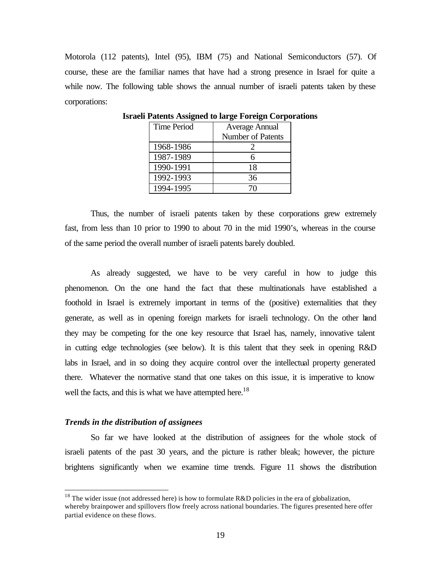Motorola (112 patents), Intel (95), IBM (75) and National Semiconductors (57). Of course, these are the familiar names that have had a strong presence in Israel for quite a while now. The following table shows the annual number of israeli patents taken by these corporations:

| <b>Time Period</b> | <b>Average Annual</b>    |
|--------------------|--------------------------|
|                    | <b>Number of Patents</b> |
| 1968-1986          |                          |
| 1987-1989          |                          |
| 1990-1991          | 18                       |
| 1992-1993          | 36                       |
| 1994-1995          |                          |

**Israeli Patents Assigned to large Foreign Corporations**

Thus, the number of israeli patents taken by these corporations grew extremely fast, from less than 10 prior to 1990 to about 70 in the mid 1990's, whereas in the course of the same period the overall number of israeli patents barely doubled.

As already suggested, we have to be very careful in how to judge this phenomenon. On the one hand the fact that these multinationals have established a foothold in Israel is extremely important in terms of the (positive) externalities that they generate, as well as in opening foreign markets for israeli technology. On the other hand they may be competing for the one key resource that Israel has, namely, innovative talent in cutting edge technologies (see below). It is this talent that they seek in opening R&D labs in Israel, and in so doing they acquire control over the intellectual property generated there. Whatever the normative stand that one takes on this issue, it is imperative to know well the facts, and this is what we have attempted here.<sup>18</sup>

#### *Trends in the distribution of assignees*

 $\overline{a}$ 

So far we have looked at the distribution of assignees for the whole stock of israeli patents of the past 30 years, and the picture is rather bleak; however, the picture brightens significantly when we examine time trends. Figure 11 shows the distribution

<sup>&</sup>lt;sup>18</sup> The wider issue (not addressed here) is how to formulate R&D policies in the era of globalization, whereby brainpower and spillovers flow freely across national boundaries. The figures presented here offer partial evidence on these flows.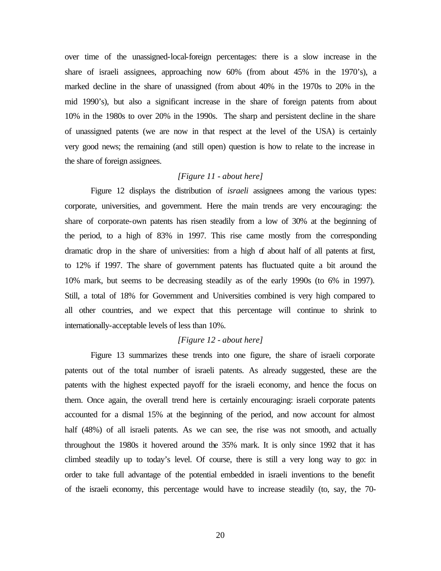over time of the unassigned-local-foreign percentages: there is a slow increase in the share of israeli assignees, approaching now 60% (from about 45% in the 1970's), a marked decline in the share of unassigned (from about 40% in the 1970s to 20% in the mid 1990's), but also a significant increase in the share of foreign patents from about 10% in the 1980s to over 20% in the 1990s. The sharp and persistent decline in the share of unassigned patents (we are now in that respect at the level of the USA) is certainly very good news; the remaining (and still open) question is how to relate to the increase in the share of foreign assignees.

#### *[Figure 11 - about here]*

Figure 12 displays the distribution of *israeli* assignees among the various types: corporate, universities, and government. Here the main trends are very encouraging: the share of corporate-own patents has risen steadily from a low of 30% at the beginning of the period, to a high of 83% in 1997. This rise came mostly from the corresponding dramatic drop in the share of universities: from a high of about half of all patents at first, to 12% if 1997. The share of government patents has fluctuated quite a bit around the 10% mark, but seems to be decreasing steadily as of the early 1990s (to 6% in 1997). Still, a total of 18% for Government and Universities combined is very high compared to all other countries, and we expect that this percentage will continue to shrink to internationally-acceptable levels of less than 10%.

#### *[Figure 12 - about here]*

Figure 13 summarizes these trends into one figure, the share of israeli corporate patents out of the total number of israeli patents. As already suggested, these are the patents with the highest expected payoff for the israeli economy, and hence the focus on them. Once again, the overall trend here is certainly encouraging: israeli corporate patents accounted for a dismal 15% at the beginning of the period, and now account for almost half (48%) of all israeli patents. As we can see, the rise was not smooth, and actually throughout the 1980s it hovered around the 35% mark. It is only since 1992 that it has climbed steadily up to today's level. Of course, there is still a very long way to go: in order to take full advantage of the potential embedded in israeli inventions to the benefit of the israeli economy, this percentage would have to increase steadily (to, say, the 70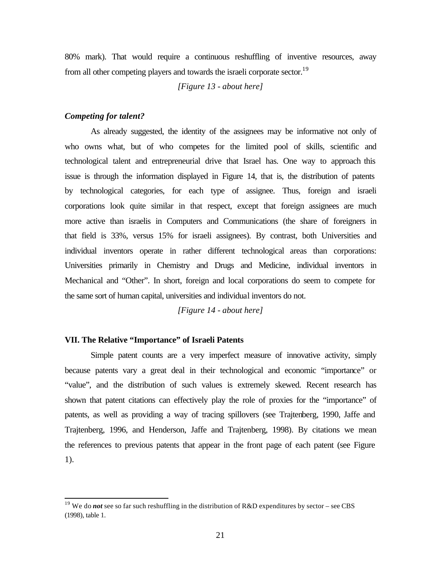80% mark). That would require a continuous reshuffling of inventive resources, away from all other competing players and towards the israeli corporate sector.<sup>19</sup>

*[Figure 13 - about here]*

#### *Competing for talent?*

 $\overline{\phantom{a}}$ 

As already suggested, the identity of the assignees may be informative not only of who owns what, but of who competes for the limited pool of skills, scientific and technological talent and entrepreneurial drive that Israel has. One way to approach this issue is through the information displayed in Figure 14, that is, the distribution of patents by technological categories, for each type of assignee. Thus, foreign and israeli corporations look quite similar in that respect, except that foreign assignees are much more active than israelis in Computers and Communications (the share of foreigners in that field is 33%, versus 15% for israeli assignees). By contrast, both Universities and individual inventors operate in rather different technological areas than corporations: Universities primarily in Chemistry and Drugs and Medicine, individual inventors in Mechanical and "Other". In short, foreign and local corporations do seem to compete for the same sort of human capital, universities and individual inventors do not.

*[Figure 14 - about here]*

#### **VII. The Relative "Importance" of Israeli Patents**

Simple patent counts are a very imperfect measure of innovative activity, simply because patents vary a great deal in their technological and economic "importance" or "value", and the distribution of such values is extremely skewed. Recent research has shown that patent citations can effectively play the role of proxies for the "importance" of patents, as well as providing a way of tracing spillovers (see Trajtenberg, 1990, Jaffe and Trajtenberg, 1996, and Henderson, Jaffe and Trajtenberg, 1998). By citations we mean the references to previous patents that appear in the front page of each patent (see Figure 1).

<sup>19</sup> We do *not* see so far such reshuffling in the distribution of R&D expenditures by sector – see CBS (1998), table 1.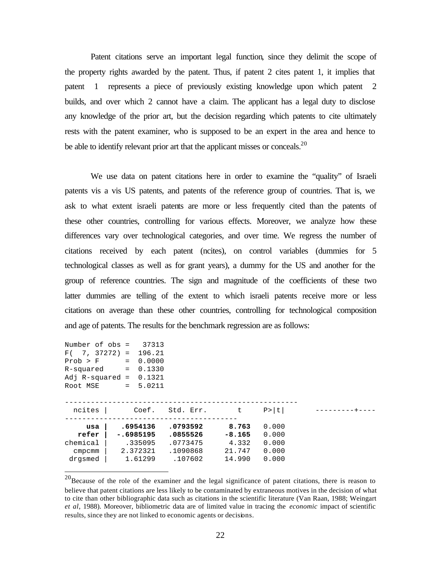Patent citations serve an important legal function, since they delimit the scope of the property rights awarded by the patent. Thus, if patent 2 cites patent 1, it implies that patent 1 represents a piece of previously existing knowledge upon which patent 2 builds, and over which 2 cannot have a claim. The applicant has a legal duty to disclose any knowledge of the prior art, but the decision regarding which patents to cite ultimately rests with the patent examiner, who is supposed to be an expert in the area and hence to be able to identify relevant prior art that the applicant misses or conceals.<sup>20</sup>

We use data on patent citations here in order to examine the "quality" of Israeli patents vis a vis US patents, and patents of the reference group of countries. That is, we ask to what extent israeli patents are more or less frequently cited than the patents of these other countries, controlling for various effects. Moreover, we analyze how these differences vary over technological categories, and over time. We regress the number of citations received by each patent (ncites), on control variables (dummies for 5 technological classes as well as for grant years), a dummy for the US and another for the group of reference countries. The sign and magnitude of the coefficients of these two latter dummies are telling of the extent to which israeli patents receive more or less citations on average than these other countries, controlling for technological composition and age of patents. The results for the benchmark regression are as follows:

| Number of obs =<br>$F(7, 37272) = 196.21$<br>Prob > F<br>R-squared<br>Adj R-squared =<br>Root MSE | 37313<br>0.0000<br>$=$ $-$<br>$=$<br>0.1330<br>0.1321<br>5.0211<br>$=$ |                                                         |                                                |                                           |  |
|---------------------------------------------------------------------------------------------------|------------------------------------------------------------------------|---------------------------------------------------------|------------------------------------------------|-------------------------------------------|--|
| ncites                                                                                            | Coef.                                                                  | Std. Err.                                               | t.                                             | P >  t                                    |  |
| usa<br>refer<br>chemical<br>cmpcmm<br>drgsmed                                                     | .6954136<br>$-.6985195$<br>.335095<br>2.372321<br>1.61299              | .0793592<br>.0855526<br>.0773475<br>.1090868<br>.107602 | 8.763<br>$-8.165$<br>4.332<br>21.747<br>14.990 | 0.000<br>0.000<br>0.000<br>0.000<br>0.000 |  |

 $20$ Because of the role of the examiner and the legal significance of patent citations, there is reason to believe that patent citations are less likely to be contaminated by extraneous motives in the decision of what to cite than other bibliographic data such as citations in the scientific literature (Van Raan, 1988; Weingart *et al*, 1988). Moreover, bibliometric data are of limited value in tracing the *economic* impact of scientific results, since they are not linked to economic agents or decisions.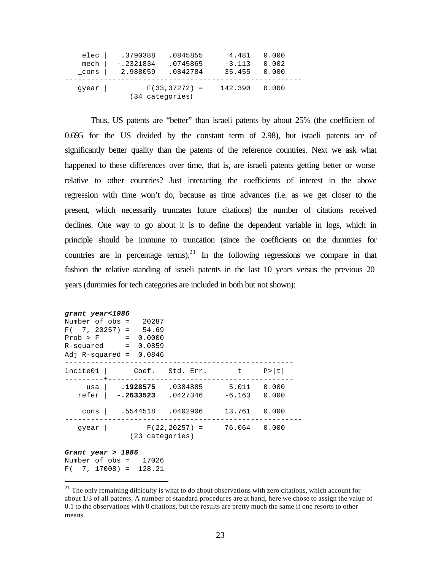| elec  | .3790388        | .0845855         | 4.481    | 0.000 |  |
|-------|-----------------|------------------|----------|-------|--|
| mech  | $-.2321834$     | .0745865         | $-3.113$ | 0.002 |  |
| cons  | 2.988059        | .0842784         | 35.455   | 0.000 |  |
|       |                 |                  | 142.390  |       |  |
| qyear |                 | $F(33, 37272) =$ |          | 0.000 |  |
|       | (34 categories) |                  |          |       |  |

Thus, US patents are "better" than israeli patents by about 25% (the coefficient of 0.695 for the US divided by the constant term of 2.98), but israeli patents are of significantly better quality than the patents of the reference countries. Next we ask what happened to these differences over time, that is, are israeli patents getting better or worse relative to other countries? Just interacting the coefficients of interest in the above regression with time won't do, because as time advances (i.e. as we get closer to the present, which necessarily truncates future citations) the number of citations received declines. One way to go about it is to define the dependent variable in logs, which in principle should be immune to truncation (since the coefficients on the dummies for countries are in percentage terms).<sup>21</sup> In the following regressions we compare in that fashion the relative standing of israeli patents in the last 10 years versus the previous 20 years (dummies for tech categories are included in both but not shown):

| grant year<1986<br>Number of $obs = 20287$<br>$F(7, 20257) = 54.69$<br>$Prob > F$ = 0.0000<br>$R$ -squared = $0.0859$<br>Adj R-squared = $0.0846$ |  |                                                                            |        |  |
|---------------------------------------------------------------------------------------------------------------------------------------------------|--|----------------------------------------------------------------------------|--------|--|
|                                                                                                                                                   |  | lncite01   Coef. Std. Err. t                                               | P >  t |  |
| refer                                                                                                                                             |  | usa   1928575 .0384885 5.011 0.000<br>$-0.2633523$ .0427346 $-6.163$ 0.000 |        |  |
| cons                                                                                                                                              |  | .5544518 .0402906 13.761 0.000                                             |        |  |
| qyear                                                                                                                                             |  | $F(22, 20257) = 76.064 0.000$<br>(23 categories)                           |        |  |
| Grant year $> 1986$<br>Number of $obs = 17026$                                                                                                    |  |                                                                            |        |  |

 $F( 7, 17008) = 128.21$ 

 $21$  The only remaining difficulty is what to do about observations with zero citations, which account for about 1/3 of all patents. A number of standard procedures are at hand, here we chose to assign the value of 0.1 to the observations with 0 citations, but the results are pretty much the same if one resorts to other means.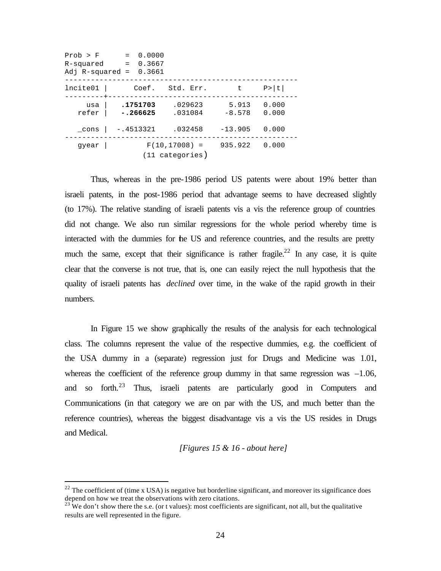| Prob > F<br>R-squared<br>Adj $R$ -squared = | 0.0000<br>$=$<br>0.3667<br>$=$ $-$<br>0.3661 |                                     |                   |                |
|---------------------------------------------|----------------------------------------------|-------------------------------------|-------------------|----------------|
| lncite01                                    | Coef.                                        | Std. Err.                           | t                 | P >  t         |
| usa<br>refer                                | .1751703<br>$-.266625$                       | .029623<br>.031084                  | 5.913<br>$-8.578$ | 0.000<br>0.000 |
| cons                                        | $-.4513321$                                  | .032458                             | $-13.905$         | 0.000          |
| qyear                                       |                                              | $F(10, 17008) =$<br>(11 categories) | 935.922           | 0.000          |

Thus, whereas in the pre-1986 period US patents were about 19% better than israeli patents, in the post-1986 period that advantage seems to have decreased slightly (to 17%). The relative standing of israeli patents vis a vis the reference group of countries did not change. We also run similar regressions for the whole period whereby time is interacted with the dummies for the US and reference countries, and the results are pretty much the same, except that their significance is rather fragile.<sup>22</sup> In any case, it is quite clear that the converse is not true, that is, one can easily reject the null hypothesis that the quality of israeli patents has *declined* over time, in the wake of the rapid growth in their numbers.

In Figure 15 we show graphically the results of the analysis for each technological class. The columns represent the value of the respective dummies, e.g. the coefficient of the USA dummy in a (separate) regression just for Drugs and Medicine was 1.01, whereas the coefficient of the reference group dummy in that same regression was  $-1.06$ , and so forth.<sup>23</sup> Thus, israeli patents are particularly good in Computers and Communications (in that category we are on par with the US, and much better than the reference countries), whereas the biggest disadvantage vis a vis the US resides in Drugs and Medical.

*[Figures 15 & 16 - about here]*

 $^{22}$  The coefficient of (time x USA) is negative but borderline significant, and moreover its significance does depend on how we treat the observations with zero citations.

<sup>&</sup>lt;sup>23</sup> We don't show there the s.e. (or t values): most coefficients are significant, not all, but the qualitative results are well represented in the figure.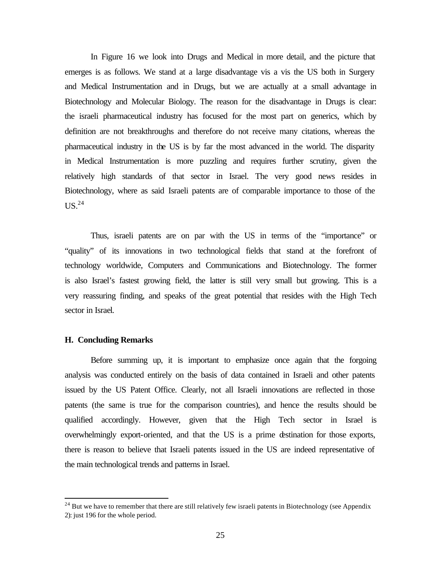In Figure 16 we look into Drugs and Medical in more detail, and the picture that emerges is as follows. We stand at a large disadvantage vis a vis the US both in Surgery and Medical Instrumentation and in Drugs, but we are actually at a small advantage in Biotechnology and Molecular Biology. The reason for the disadvantage in Drugs is clear: the israeli pharmaceutical industry has focused for the most part on generics, which by definition are not breakthroughs and therefore do not receive many citations, whereas the pharmaceutical industry in the US is by far the most advanced in the world. The disparity in Medical Instrumentation is more puzzling and requires further scrutiny, given the relatively high standards of that sector in Israel. The very good news resides in Biotechnology, where as said Israeli patents are of comparable importance to those of the  $US.<sup>24</sup>$ 

Thus, israeli patents are on par with the US in terms of the "importance" or "quality" of its innovations in two technological fields that stand at the forefront of technology worldwide, Computers and Communications and Biotechnology. The former is also Israel's fastest growing field, the latter is still very small but growing. This is a very reassuring finding, and speaks of the great potential that resides with the High Tech sector in Israel.

#### **H. Concluding Remarks**

 $\overline{a}$ 

Before summing up, it is important to emphasize once again that the forgoing analysis was conducted entirely on the basis of data contained in Israeli and other patents issued by the US Patent Office. Clearly, not all Israeli innovations are reflected in those patents (the same is true for the comparison countries), and hence the results should be qualified accordingly. However, given that the High Tech sector in Israel is overwhelmingly export-oriented, and that the US is a prime destination for those exports, there is reason to believe that Israeli patents issued in the US are indeed representative of the main technological trends and patterns in Israel.

<sup>&</sup>lt;sup>24</sup> But we have to remember that there are still relatively few israeli patents in Biotechnology (see Appendix 2): just 196 for the whole period.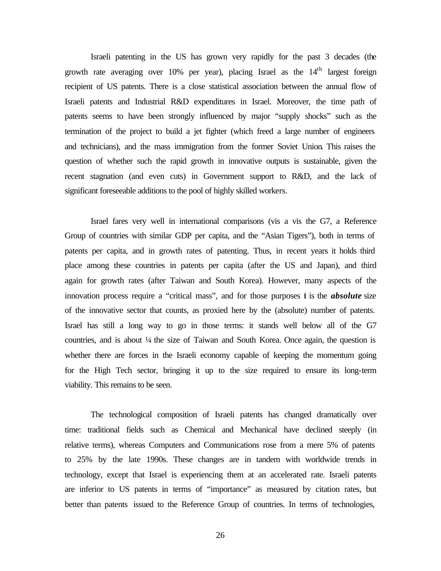Israeli patenting in the US has grown very rapidly for the past 3 decades (the growth rate averaging over 10% per year), placing Israel as the 14th largest foreign recipient of US patents. There is a close statistical association between the annual flow of Israeli patents and Industrial R&D expenditures in Israel. Moreover, the time path of patents seems to have been strongly influenced by major "supply shocks" such as the termination of the project to build a jet fighter (which freed a large number of engineers and technicians), and the mass immigration from the former Soviet Union. This raises the question of whether such the rapid growth in innovative outputs is sustainable, given the recent stagnation (and even cuts) in Government support to R&D, and the lack of significant foreseeable additions to the pool of highly skilled workers.

Israel fares very well in international comparisons (vis a vis the G7, a Reference Group of countries with similar GDP per capita, and the "Asian Tigers"), both in terms of patents per capita, and in growth rates of patenting. Thus, in recent years it holds third place among these countries in patents per capita (after the US and Japan), and third again for growth rates (after Taiwan and South Korea). However, many aspects of the innovation process require a "critical mass", and for those purposes it is the **absolute** size of the innovative sector that counts, as proxied here by the (absolute) number of patents. Israel has still a long way to go in those terms: it stands well below all of the G7 countries, and is about ¼ the size of Taiwan and South Korea. Once again, the question is whether there are forces in the Israeli economy capable of keeping the momentum going for the High Tech sector, bringing it up to the size required to ensure its long-term viability. This remains to be seen.

The technological composition of Israeli patents has changed dramatically over time: traditional fields such as Chemical and Mechanical have declined steeply (in relative terms), whereas Computers and Communications rose from a mere 5% of patents to 25% by the late 1990s. These changes are in tandem with worldwide trends in technology, except that Israel is experiencing them at an accelerated rate. Israeli patents are inferior to US patents in terms of "importance" as measured by citation rates, but better than patents issued to the Reference Group of countries. In terms of technologies,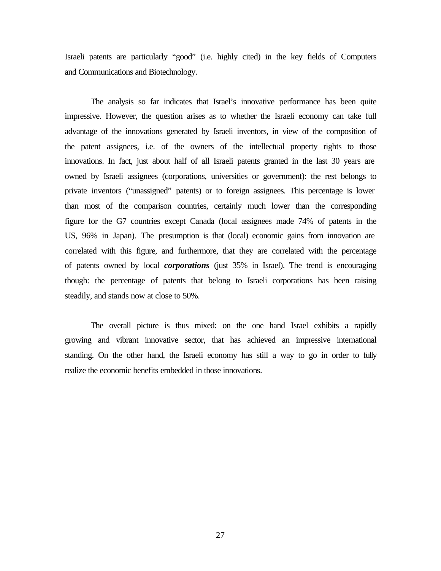Israeli patents are particularly "good" (i.e. highly cited) in the key fields of Computers and Communications and Biotechnology.

The analysis so far indicates that Israel's innovative performance has been quite impressive. However, the question arises as to whether the Israeli economy can take full advantage of the innovations generated by Israeli inventors, in view of the composition of the patent assignees, i.e. of the owners of the intellectual property rights to those innovations. In fact, just about half of all Israeli patents granted in the last 30 years are owned by Israeli assignees (corporations, universities or government): the rest belongs to private inventors ("unassigned" patents) or to foreign assignees. This percentage is lower than most of the comparison countries, certainly much lower than the corresponding figure for the G7 countries except Canada (local assignees made 74% of patents in the US, 96% in Japan). The presumption is that (local) economic gains from innovation are correlated with this figure, and furthermore, that they are correlated with the percentage of patents owned by local *corporations* (just 35% in Israel). The trend is encouraging though: the percentage of patents that belong to Israeli corporations has been raising steadily, and stands now at close to 50%.

The overall picture is thus mixed: on the one hand Israel exhibits a rapidly growing and vibrant innovative sector, that has achieved an impressive international standing. On the other hand, the Israeli economy has still a way to go in order to fully realize the economic benefits embedded in those innovations.

27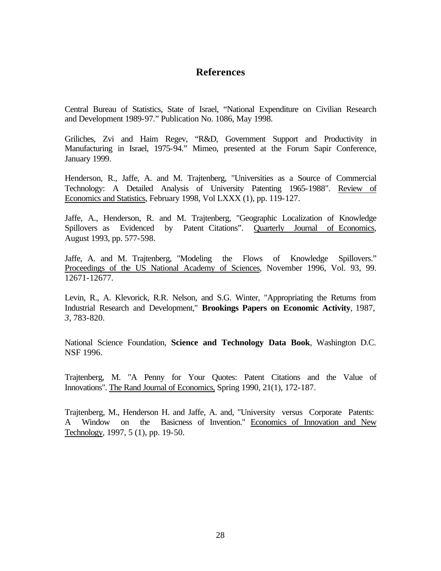# **References**

Central Bureau of Statistics, State of Israel, "National Expenditure on Civilian Research and Development 1989-97." Publication No. 1086, May 1998.

Griliches, Zvi and Haim Regev, "R&D, Government Support and Productivity in Manufacturing in Israel, 1975-94." Mimeo, presented at the Forum Sapir Conference, January 1999.

Henderson, R., Jaffe, A. and M. Trajtenberg, "Universities as a Source of Commercial Technology: A Detailed Analysis of University Patenting 1965-1988". Review of Economics and Statistics, February 1998, Vol LXXX (1), pp. 119-127.

Jaffe, A., Henderson, R. and M. Trajtenberg, "Geographic Localization of Knowledge Spillovers as Evidenced by Patent Citations". Quarterly Journal of Economics, August 1993, pp. 577-598.

Jaffe, A. and M. Trajtenberg, "Modeling the Flows of Knowledge Spillovers." Proceedings of the US National Academy of Sciences, November 1996, Vol. 93, 99. 12671-12677.

Levin, R., A. Klevorick, R.R. Nelson, and S.G. Winter, "Appropriating the Returns from Industrial Research and Development," **Brookings Papers on Economic Activity**, 1987, *3*, 783-820.

National Science Foundation, **Science and Technology Data Book**, Washington D.C. NSF 1996.

Trajtenberg, M. "A Penny for Your Quotes: Patent Citations and the Value of Innovations". The Rand Journal of Economics, Spring 1990, 21(1), 172-187.

Trajtenberg, M., Henderson H. and Jaffe, A. and, "University versus Corporate Patents: A Window on the Basicness of Invention." Economics of Innovation and New Technology, 1997, 5 (1), pp. 19-50.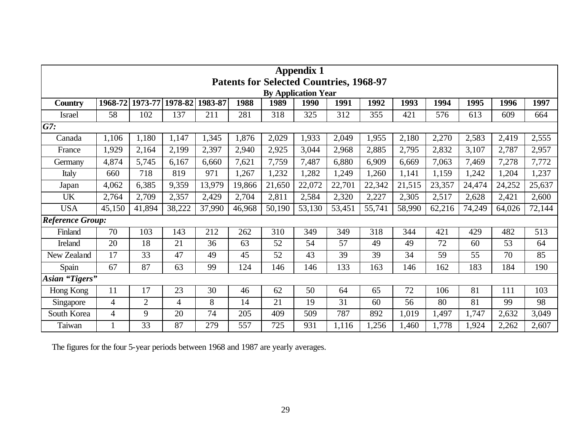| <b>Appendix 1</b>                                                            |                |                |         |         |        |        |        |        |        |        |        |        |        |        |
|------------------------------------------------------------------------------|----------------|----------------|---------|---------|--------|--------|--------|--------|--------|--------|--------|--------|--------|--------|
| <b>Patents for Selected Countries, 1968-97</b><br><b>By Application Year</b> |                |                |         |         |        |        |        |        |        |        |        |        |        |        |
| <b>Country</b>                                                               | 1968-72        | 1973-77        | 1978-82 | 1983-87 | 1988   | 1989   | 1990   | 1991   | 1992   | 1993   | 1994   | 1995   | 1996   | 1997   |
| Israel                                                                       | 58             | 102            | 137     | 211     | 281    | 318    | 325    | 312    | 355    | 421    | 576    | 613    | 609    | 664    |
| G7:                                                                          |                |                |         |         |        |        |        |        |        |        |        |        |        |        |
| Canada                                                                       | 1,106          | 1,180          | 1,147   | 1,345   | 1,876  | 2,029  | 1,933  | 2,049  | 1,955  | 2,180  | 2,270  | 2,583  | 2,419  | 2,555  |
| France                                                                       | 1,929          | 2,164          | 2,199   | 2,397   | 2,940  | 2,925  | 3,044  | 2,968  | 2,885  | 2,795  | 2,832  | 3,107  | 2,787  | 2,957  |
| Germany                                                                      | 4,874          | 5,745          | 6,167   | 6,660   | 7,621  | 7,759  | 7,487  | 6,880  | 6,909  | 6,669  | 7,063  | 7,469  | 7,278  | 7,772  |
| Italy                                                                        | 660            | 718            | 819     | 971     | 1,267  | 1,232  | 1,282  | 1,249  | 1,260  | 1,141  | 1,159  | 1,242  | 1,204  | 1,237  |
| Japan                                                                        | 4,062          | 6,385          | 9,359   | 13,979  | 19,866 | 21,650 | 22,072 | 22,701 | 22,342 | 21,515 | 23,357 | 24,474 | 24,252 | 25,637 |
| <b>UK</b>                                                                    | 2,764          | 2,709          | 2,357   | 2,429   | 2,704  | 2,811  | 2,584  | 2,320  | 2,227  | 2,305  | 2,517  | 2,628  | 2,421  | 2,600  |
| <b>USA</b>                                                                   | 45,150         | 41,894         | 38,222  | 37,990  | 46,968 | 50,190 | 53,130 | 53,451 | 55,741 | 58,990 | 62,216 | 74,249 | 64,026 | 72,144 |
| <b>Reference Group:</b>                                                      |                |                |         |         |        |        |        |        |        |        |        |        |        |        |
| Finland                                                                      | 70             | 103            | 143     | 212     | 262    | 310    | 349    | 349    | 318    | 344    | 421    | 429    | 482    | 513    |
| Ireland                                                                      | 20             | 18             | 21      | 36      | 63     | 52     | 54     | 57     | 49     | 49     | 72     | 60     | 53     | 64     |
| New Zealand                                                                  | 17             | 33             | 47      | 49      | 45     | 52     | 43     | 39     | 39     | 34     | 59     | 55     | 70     | 85     |
| Spain                                                                        | 67             | 87             | 63      | 99      | 124    | 146    | 146    | 133    | 163    | 146    | 162    | 183    | 184    | 190    |
| Asian "Tigers"                                                               |                |                |         |         |        |        |        |        |        |        |        |        |        |        |
| Hong Kong                                                                    | 11             | 17             | 23      | 30      | 46     | 62     | 50     | 64     | 65     | 72     | 106    | 81     | 111    | 103    |
| Singapore                                                                    | $\overline{4}$ | $\overline{2}$ | 4       | 8       | 14     | 21     | 19     | 31     | 60     | 56     | 80     | 81     | 99     | 98     |
| South Korea                                                                  | $\overline{4}$ | 9              | 20      | 74      | 205    | 409    | 509    | 787    | 892    | 1,019  | 1,497  | 1,747  | 2,632  | 3,049  |
| Taiwan                                                                       |                | 33             | 87      | 279     | 557    | 725    | 931    | 1,116  | 1,256  | 1,460  | 1,778  | 1,924  | 2,262  | 2,607  |

The figures for the four 5-year periods between 1968 and 1987 are yearly averages.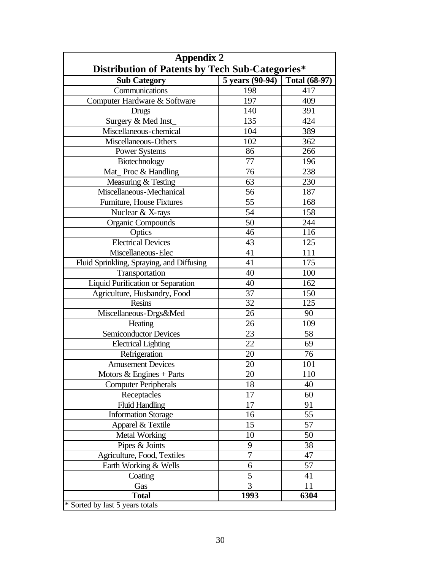| <b>Appendix 2</b><br>Distribution of Patents by Tech Sub-Categories* |                 |                      |  |  |  |  |  |  |  |
|----------------------------------------------------------------------|-----------------|----------------------|--|--|--|--|--|--|--|
| <b>Sub Category</b>                                                  | 5 years (90-94) | <b>Total (68-97)</b> |  |  |  |  |  |  |  |
| Communications                                                       | 198             | 417                  |  |  |  |  |  |  |  |
| Computer Hardware & Software                                         | 197             | 409                  |  |  |  |  |  |  |  |
| Drugs                                                                | 140             | 391                  |  |  |  |  |  |  |  |
| Surgery & Med Inst                                                   | 135             | 424                  |  |  |  |  |  |  |  |
| Miscellaneous-chemical                                               | 104             | 389                  |  |  |  |  |  |  |  |
| Miscellaneous-Others                                                 | 102             | 362                  |  |  |  |  |  |  |  |
| <b>Power Systems</b>                                                 | 86              | 266                  |  |  |  |  |  |  |  |
| Biotechnology                                                        | 77              | 196                  |  |  |  |  |  |  |  |
| Mat_Proc & Handling                                                  | 76              | 238                  |  |  |  |  |  |  |  |
| Measuring & Testing                                                  | 63              | 230                  |  |  |  |  |  |  |  |
| Miscellaneous-Mechanical                                             | 56              | 187                  |  |  |  |  |  |  |  |
| Furniture, House Fixtures                                            | 55              | 168                  |  |  |  |  |  |  |  |
| Nuclear & X-rays                                                     | 54              | 158                  |  |  |  |  |  |  |  |
| Organic Compounds                                                    | 50              | 244                  |  |  |  |  |  |  |  |
| Optics                                                               | 46              | 116                  |  |  |  |  |  |  |  |
| <b>Electrical Devices</b>                                            | 43              | 125                  |  |  |  |  |  |  |  |
| Miscellaneous-Elec                                                   | 41              | 111                  |  |  |  |  |  |  |  |
| Fluid Sprinkling, Spraying, and Diffusing                            | 41              | 175                  |  |  |  |  |  |  |  |
| Transportation                                                       | 40              | 100                  |  |  |  |  |  |  |  |
| Liquid Purification or Separation                                    | 40              | 162                  |  |  |  |  |  |  |  |
| Agriculture, Husbandry, Food                                         | 37              | 150                  |  |  |  |  |  |  |  |
| <b>Resins</b>                                                        | 32              | 125                  |  |  |  |  |  |  |  |
| Miscellaneous-Drgs&Med                                               | 26              | 90                   |  |  |  |  |  |  |  |
| Heating                                                              | 26              | 109                  |  |  |  |  |  |  |  |
| <b>Semiconductor Devices</b>                                         | 23              | 58                   |  |  |  |  |  |  |  |
| <b>Electrical Lighting</b>                                           | 22              | 69                   |  |  |  |  |  |  |  |
| Refrigeration                                                        | 20              | 76                   |  |  |  |  |  |  |  |
| <b>Amusement Devices</b>                                             | 20              | 101                  |  |  |  |  |  |  |  |
| Motors $&$ Engines + Parts                                           | 20              | 110                  |  |  |  |  |  |  |  |
| <b>Computer Peripherals</b>                                          | 18              | 40                   |  |  |  |  |  |  |  |
| Receptacles                                                          | 17              | 60                   |  |  |  |  |  |  |  |
| <b>Fluid Handling</b>                                                | 17              | 91                   |  |  |  |  |  |  |  |
| <b>Information Storage</b>                                           | 16              | 55                   |  |  |  |  |  |  |  |
| Apparel & Textile                                                    | 15              | 57                   |  |  |  |  |  |  |  |
| <b>Metal Working</b>                                                 | 10              | 50                   |  |  |  |  |  |  |  |
| Pipes & Joints                                                       | 9               | 38                   |  |  |  |  |  |  |  |
| Agriculture, Food, Textiles                                          | $\overline{7}$  | 47                   |  |  |  |  |  |  |  |
| Earth Working & Wells                                                | 6               | 57                   |  |  |  |  |  |  |  |
| Coating                                                              | 5               | 41                   |  |  |  |  |  |  |  |
| Gas                                                                  | 3               | 11                   |  |  |  |  |  |  |  |
| <b>Total</b>                                                         | 1993            | 6304                 |  |  |  |  |  |  |  |
| * Sorted by last 5 years totals                                      |                 |                      |  |  |  |  |  |  |  |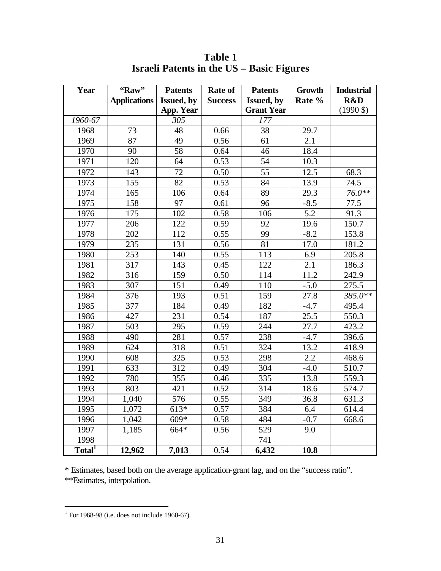| Year               | "Raw"               | <b>Patents</b>   | <b>Rate of</b> | <b>Patents</b>    | <b>Growth</b> | <b>Industrial</b>   |
|--------------------|---------------------|------------------|----------------|-------------------|---------------|---------------------|
|                    | <b>Applications</b> | Issued, by       | <b>Success</b> | Issued, by        | Rate %        | R&D                 |
|                    |                     | App. Year        |                | <b>Grant Year</b> |               | $(1990 \text{ } $)$ |
| 1960-67            |                     | 305              |                | 177               |               |                     |
| 1968               | 73                  | 48               | 0.66           | 38                | 29.7          |                     |
| 1969               | $\overline{87}$     | $\overline{49}$  | 0.56           | 61                | 2.1           |                     |
| 1970               | 90                  | $\overline{58}$  | 0.64           | 46                | 18.4          |                     |
| 1971               | 120                 | 64               | 0.53           | $\overline{54}$   | 10.3          |                     |
| 1972               | 143                 | 72               | 0.50           | 55                | 12.5          | 68.3                |
| 1973               | 155                 | $\overline{82}$  | 0.53           | 84                | 13.9          | 74.5                |
| 1974               | 165                 | 106              | 0.64           | 89                | 29.3          | 76.0**              |
| 1975               | 158                 | 97               | 0.61           | 96                | $-8.5$        | 77.5                |
| 1976               | 175                 | 102              | 0.58           | 106               | 5.2           | 91.3                |
| 1977               | 206                 | 122              | 0.59           | 92                | 19.6          | 150.7               |
| 1978               | 202                 | 112              | 0.55           | 99                | $-8.2$        | 153.8               |
| 1979               | 235                 | 131              | 0.56           | 81                | 17.0          | 181.2               |
| 1980               | 253                 | 140              | 0.55           | 113               | 6.9           | 205.8               |
| 1981               | 317                 | 143              | 0.45           | 122               | 2.1           | 186.3               |
| 1982               | 316                 | 159              | 0.50           | 114               | 11.2          | 242.9               |
| 1983               | 307                 | $\overline{151}$ | 0.49           | 110               | $-5.0$        | $\overline{275.5}$  |
| 1984               | 376                 | 193              | 0.51           | 159               | 27.8          | 385.0**             |
| 1985               | 377                 | 184              | 0.49           | 182               | $-4.7$        | 495.4               |
| 1986               | 427                 | 231              | 0.54           | 187               | 25.5          | 550.3               |
| 1987               | 503                 | 295              | 0.59           | 244               | 27.7          | 423.2               |
| 1988               | 490                 | 281              | 0.57           | 238               | $-4.7$        | 396.6               |
| 1989               | 624                 | 318              | 0.51           | 324               | 13.2          | 418.9               |
| 1990               | 608                 | 325              | 0.53           | 298               | 2.2           | 468.6               |
| 1991               | 633                 | 312              | 0.49           | 304               | $-4.0$        | 510.7               |
| 1992               | 780                 | 355              | 0.46           | 335               | 13.8          | 559.3               |
| 1993               | 803                 | 421              | 0.52           | 314               | 18.6          | 574.7               |
| 1994               | 1,040               | 576              | 0.55           | 349               | 36.8          | 631.3               |
| 1995               | 1,072               | $613*$           | 0.57           | 384               | 6.4           | 614.4               |
| 1996               | 1,042               | 609*             | 0.58           | 484               | $-0.7$        | 668.6               |
| 1997               | 1,185               | $664*$           | 0.56           | 529               | 9.0           |                     |
| 1998               |                     |                  |                | 741               |               |                     |
| Total <sup>1</sup> | 12,962              | 7,013            | 0.54           | 6,432             | 10.8          |                     |

**Table 1 Israeli Patents in the US – Basic Figures**

\* Estimates, based both on the average application-grant lag, and on the "success ratio". \*\*Estimates, interpolation.

 1 For 1968-98 (i.e. does not include 1960-67).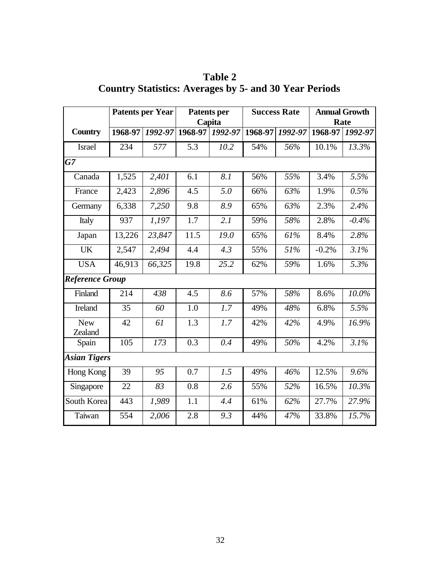|                        |         | <b>Patents per Year</b> | <b>Patents</b> per |         | <b>Success Rate</b> |         | <b>Annual Growth</b> |         |
|------------------------|---------|-------------------------|--------------------|---------|---------------------|---------|----------------------|---------|
|                        |         |                         |                    | Capita  |                     |         |                      | Rate    |
| <b>Country</b>         | 1968-97 | 1992-97                 | 1968-97            | 1992-97 | 1968-97             | 1992-97 | 1968-97              | 1992-97 |
| <b>Israel</b>          | 234     | 577                     | 5.3                | 10.2    | 54%                 | 56%     | 10.1%                | 13.3%   |
| G7                     |         |                         |                    |         |                     |         |                      |         |
| Canada                 | 1,525   | 2,401                   | 6.1                | 8.1     | 56%                 | 55%     | 3.4%                 | 5.5%    |
| France                 | 2,423   | 2,896                   | 4.5                | 5.0     | 66%                 | 63%     | 1.9%                 | 0.5%    |
| Germany                | 6,338   | 7,250                   | 9.8                | 8.9     | 65%                 | 63%     | 2.3%                 | 2.4%    |
| Italy                  | 937     | 1,197                   | 1.7                | 2.1     | 59%                 | 58%     | 2.8%                 | $-0.4%$ |
| Japan                  | 13,226  | 23,847                  | 11.5               | 19.0    | 65%                 | 61%     | 8.4%                 | 2.8%    |
| <b>UK</b>              | 2,547   | 2,494                   | 4.4                | 4.3     | 55%                 | 51%     | $-0.2%$              | 3.1%    |
| <b>USA</b>             | 46,913  | 66,325                  | 19.8               | 25.2    | 62%                 | 59%     | 1.6%                 | 5.3%    |
| <b>Reference Group</b> |         |                         |                    |         |                     |         |                      |         |
| Finland                | 214     | 438                     | 4.5                | 8.6     | 57%                 | 58%     | 8.6%                 | 10.0%   |
| Ireland                | 35      | 60                      | 1.0                | 1.7     | 49%                 | 48%     | 6.8%                 | 5.5%    |
| <b>New</b><br>Zealand  | 42      | 61                      | 1.3                | 1.7     | 42%                 | 42%     | 4.9%                 | 16.9%   |
| Spain                  | 105     | 173                     | 0.3                | 0.4     | 49%                 | 50%     | 4.2%                 | 3.1%    |
| <b>Asian Tigers</b>    |         |                         |                    |         |                     |         |                      |         |
| Hong Kong              | 39      | 95                      | 0.7                | 1.5     | 49%                 | 46%     | 12.5%                | 9.6%    |
| Singapore              | 22      | 83                      | 0.8                | 2.6     | 55%                 | 52%     | 16.5%                | 10.3%   |
| South Korea            | 443     | 1,989                   | 1.1                | 4.4     | 61%                 | 62%     | 27.7%                | 27.9%   |
| Taiwan                 | 554     | 2,006                   | 2.8                | 9.3     | 44%                 | 47%     | 33.8%                | 15.7%   |

**Table 2 Country Statistics: Averages by 5- and 30 Year Periods**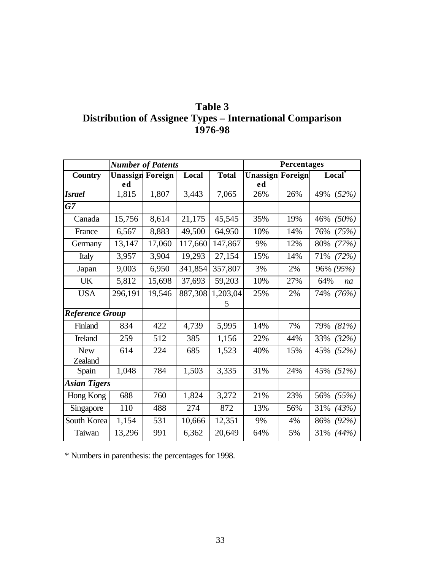# **Table 3 Distribution of Assignee Types – International Comparison 1976-98**

|                        |                         | <b>Number of Patents</b> |         | <b>Percentages</b> |                  |     |                    |
|------------------------|-------------------------|--------------------------|---------|--------------------|------------------|-----|--------------------|
| <b>Country</b>         | <b>Unassign Foreign</b> |                          | Local   | <b>Total</b>       | Unassign Foreign |     | Local <sup>*</sup> |
|                        | ed                      |                          |         |                    | ed               |     |                    |
| <b>Israel</b>          | 1,815                   | 1,807                    | 3,443   | 7,065              | 26%              | 26% | 49%<br>(52%)       |
| G7                     |                         |                          |         |                    |                  |     |                    |
| Canada                 | 15,756                  | 8,614                    | 21,175  | 45,545             | 35%              | 19% | 46%<br>(50%)       |
| France                 | 6,567                   | 8,883                    | 49,500  | 64,950             | 10%              | 14% | (75%)<br>76%       |
| Germany                | 13,147                  | 17,060                   | 117,660 | 147,867            | 9%               | 12% | 80%<br>(77%)       |
| Italy                  | 3,957                   | 3,904                    | 19,293  | 27,154             | 15%              | 14% | 71%<br>(72%)       |
| Japan                  | 9,003                   | 6,950                    | 341,854 | 357,807            | 3%               | 2%  | 96% (95%)          |
| <b>UK</b>              | 5,812                   | 15,698                   | 37,693  | 59,203             | 10%              | 27% | 64%<br>na          |
| <b>USA</b>             | 296,191                 | 19,546                   | 887,308 | 1,203,04           | 25%              | 2%  | (76%)<br>74%       |
|                        |                         |                          |         | 5                  |                  |     |                    |
| <b>Reference Group</b> |                         |                          |         |                    |                  |     |                    |
| Finland                | 834                     | 422                      | 4,739   | 5,995              | 14%              | 7%  | 79%<br>(81%)       |
| Ireland                | 259                     | 512                      | 385     | 1,156              | 22%              | 44% | 33%<br>(32%)       |
| <b>New</b>             | 614                     | 224                      | 685     | 1,523              | 40%              | 15% | 45%<br>(52%)       |
| Zealand                |                         |                          |         |                    |                  |     |                    |
| Spain                  | 1,048                   | 784                      | 1,503   | 3,335              | 31%              | 24% | 45%<br>(51%)       |
| <b>Asian Tigers</b>    |                         |                          |         |                    |                  |     |                    |
| Hong Kong              | 688                     | 760                      | 1,824   | 3,272              | 21%              | 23% | 56%<br>(55%)       |
| Singapore              | 110                     | 488                      | 274     | 872                | 13%              | 56% | 31%<br>(43%)       |
| South Korea            | 1,154                   | 531                      | 10,666  | 12,351             | 9%               | 4%  | 86%<br>(92%)       |
| Taiwan                 | 13,296                  | 991                      | 6,362   | 20,649             | 64%              | 5%  | 31%<br>(44%)       |

\* Numbers in parenthesis: the percentages for 1998.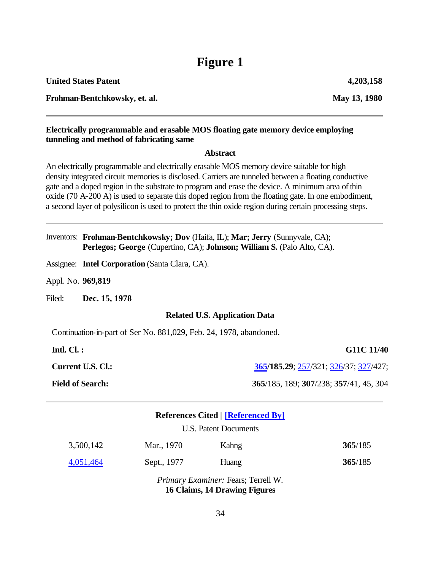# **Figure 1**

**United States Patent 4,203,158**

**Frohman-Bentchkowsky, et. al. May 13, 1980** 

## **Electrically programmable and erasable MOS floating gate memory device employing tunneling and method of fabricating same**

#### **Abstract**

An electrically programmable and electrically erasable MOS memory device suitable for high density integrated circuit memories is disclosed. Carriers are tunneled between a floating conductive gate and a doped region in the substrate to program and erase the device. A minimum area of thin oxide (70 A-200 A) is used to separate this doped region from the floating gate. In one embodiment, a second layer of polysilicon is used to protect the thin oxide region during certain processing steps.

| Inventors: Frohman-Bentchkowsky; Dov (Haifa, IL); Mar; Jerry (Sunnyvale, CA);        |
|--------------------------------------------------------------------------------------|
| <b>Perlegos; George</b> (Cupertino, CA); <b>Johnson; William S.</b> (Palo Alto, CA). |

Assignee: **Intel Corporation** (Santa Clara, CA).

Appl. No. **969,819**

Filed: **Dec. 15, 1978**

#### **Related U.S. Application Data**

Continuation-in-part of Ser No. 881,029, Feb. 24, 1978, abandoned.

**Intl. Cl. :** G11C 11/40

**Current U.S. Cl.:** 365/185.29; 257/321; 326/37; 327/427;

**Field of Search: 365**/185, 189; **307**/238; **357**/41, 45, 304

# **References Cited | [Referenced By]**

U.S. Patent Documents

| <i>Primary Examiner: Fears; Terrell W.</i><br>16 Claims, 14 Drawing Figures |             |       |         |  |
|-----------------------------------------------------------------------------|-------------|-------|---------|--|
| 4,051,464                                                                   | Sept., 1977 | Huang | 365/185 |  |
| 3,500,142                                                                   | Mar., 1970  | Kahng | 365/185 |  |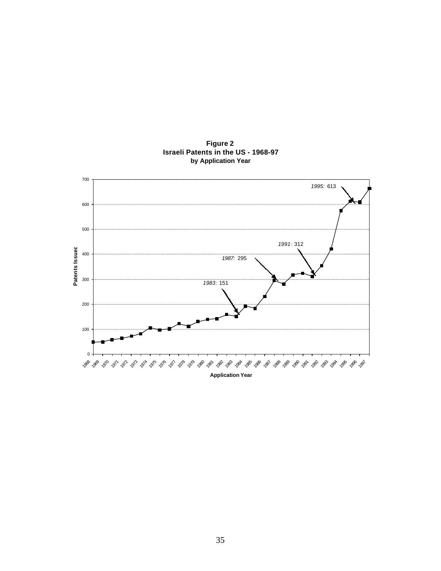

**Figure 2 Israeli Patents in the US - 1968-97 by Application Year**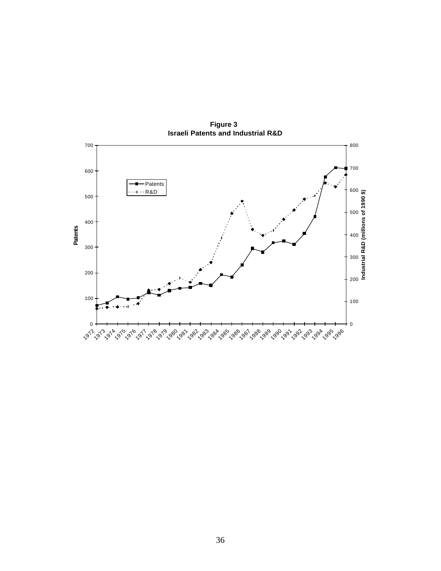

**Figure 3 Israeli Patents and Industrial R&D**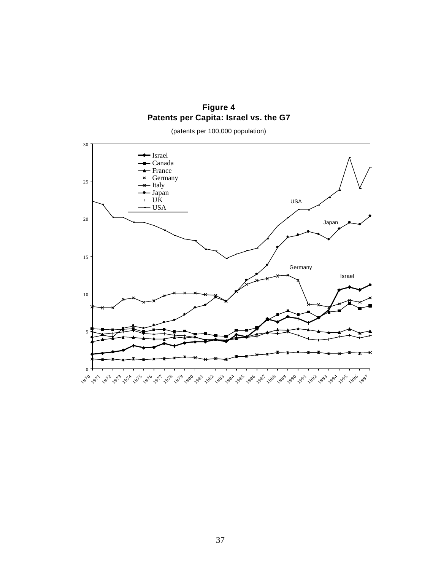

0 5 10 15 20 25 30 1970 1971 1972 1973 1974 1975 1976 1977 1978 1979 1980 1981 1982 1983 1984 1985 1986 1987 1988 1989 1990 1991 1992 1993 1994 1995 1996 1997 Israel Canada - France - Germany - Italy Japan UK USA USA Japan Germany Israel

(patents per 100,000 population)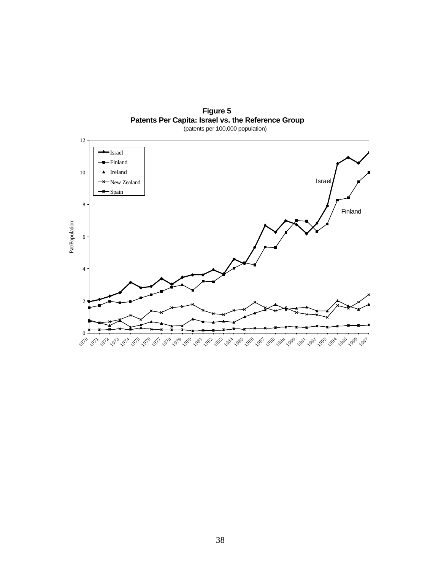

**Figure 5 Patents Per Capita: Israel vs. the Reference Group**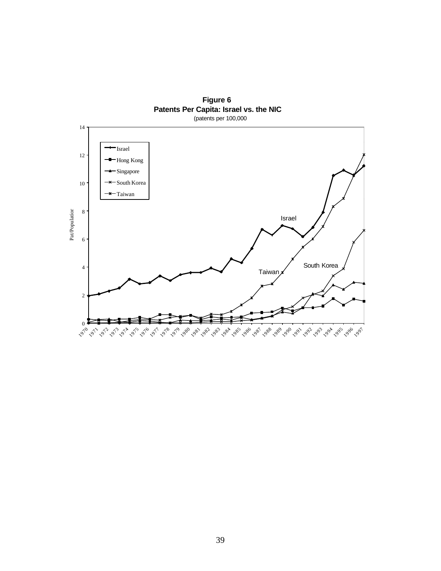

39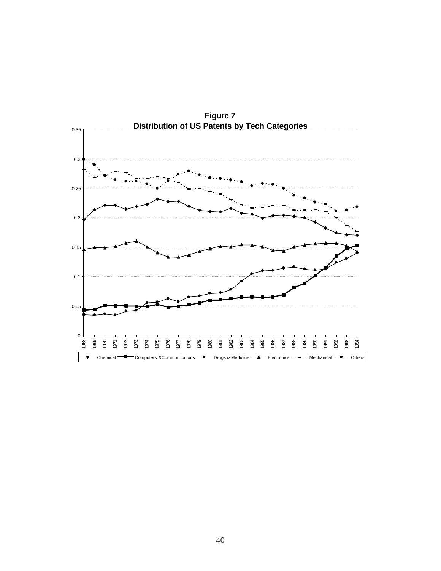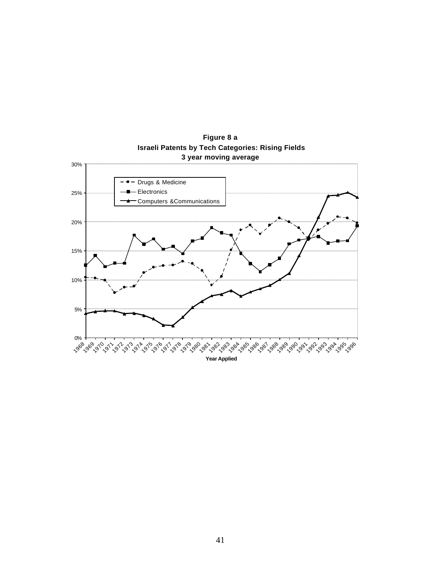

**Figure 8 a Israeli Patents by Tech Categories: Rising Fields 3 year moving average**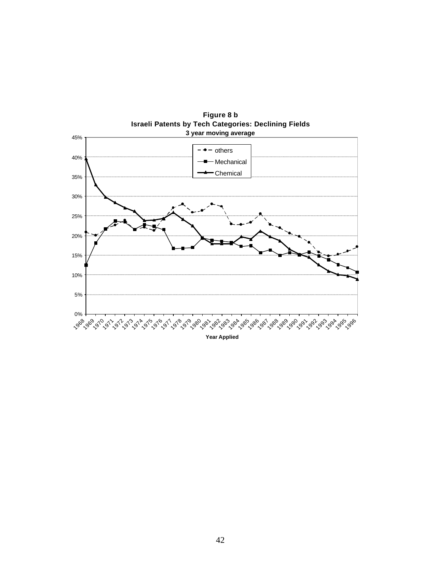

**Figure 8 b Israeli Patents by Tech Categories: Declining Fields**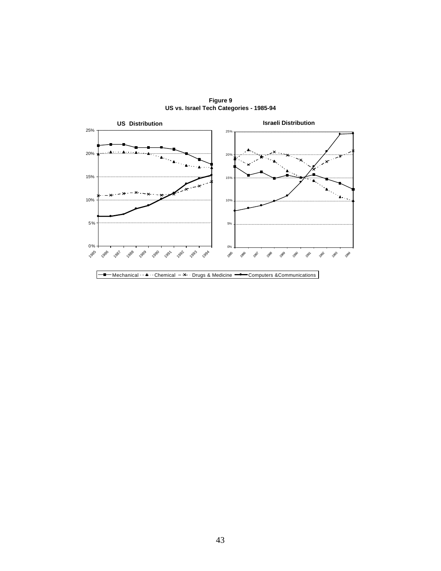

**Figure 9 US vs. Israel Tech Categories - 1985-94**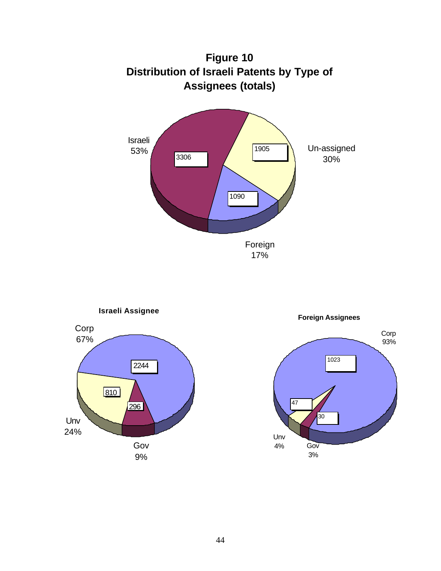



**Foreign Assignees**  Corp 93% 1023 47 30

Unv

4% Gov

3%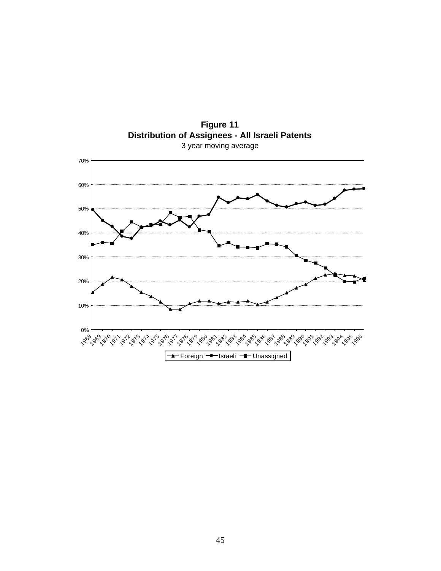

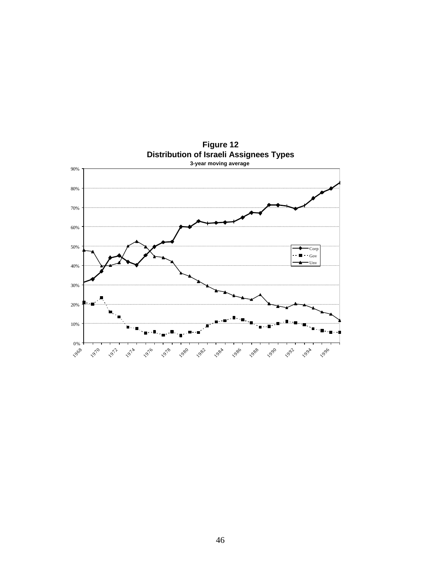

**Figure 12 Distribution of Israeli Assignees Types**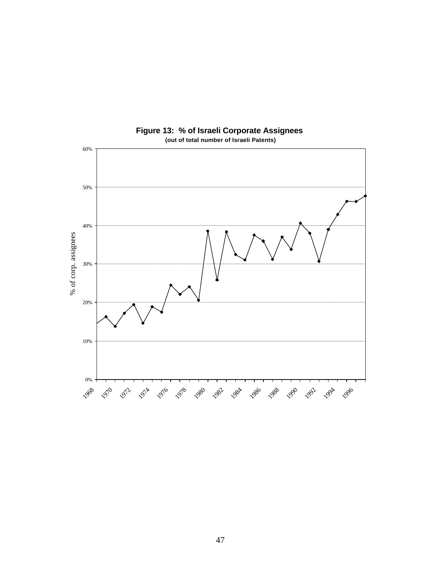

**Figure 13: % of Israeli Corporate Assignees (out of total number of Israeli Patents)**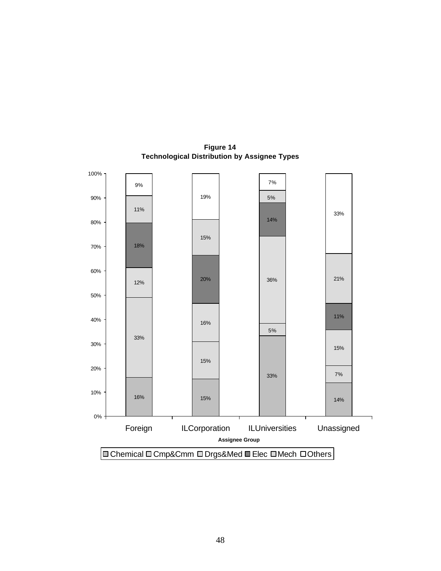

**Figure 14 Technological Distribution by Assignee Types**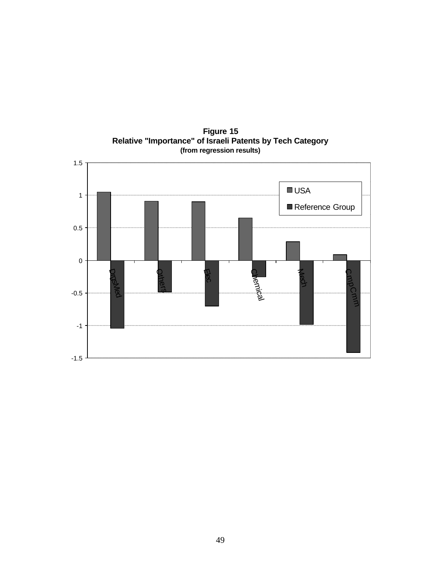

**Figure 15 Relative "Importance" of Israeli Patents by Tech Category (from regression results)**